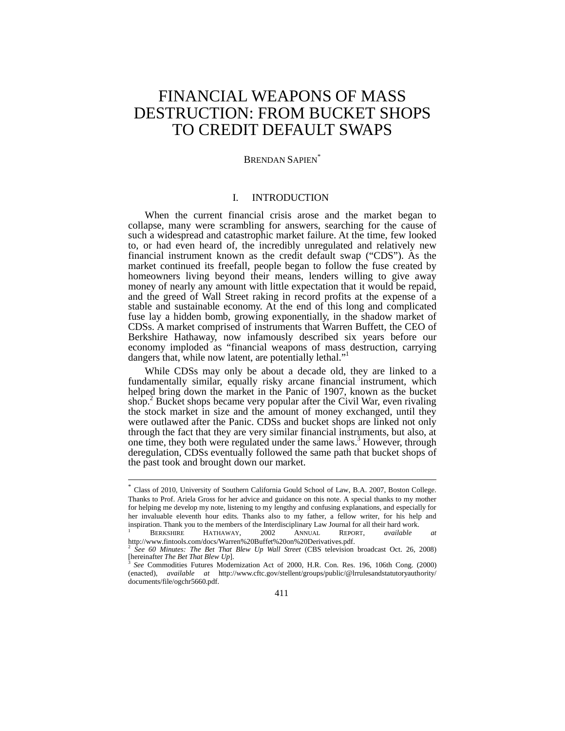# FINANCIAL WEAPONS OF MASS DESTRUCTION: FROM BUCKET SHOPS TO CREDIT DEFAULT SWAPS

#### BRENDAN SAPIEN<sup>\*</sup>

## I. INTRODUCTION

When the current financial crisis arose and the market began to collapse, many were scrambling for answers, searching for the cause of such a widespread and catastrophic market failure. At the time, few looked to, or had even heard of, the incredibly unregulated and relatively new financial instrument known as the credit default swap ("CDS"). As the market continued its freefall, people began to follow the fuse created by homeowners living beyond their means, lenders willing to give away money of nearly any amount with little expectation that it would be repaid, and the greed of Wall Street raking in record profits at the expense of a stable and sustainable economy. At the end of this long and complicated fuse lay a hidden bomb, growing exponentially, in the shadow market of CDSs. A market comprised of instruments that Warren Buffett, the CEO of Berkshire Hathaway, now infamously described six years before our economy imploded as "financial weapons of mass destruction, carrying dangers that, while now latent, are potentially lethal."

While CDSs may only be about a decade old, they are linked to a fundamentally similar, equally risky arcane financial instrument, which helped bring down the market in the Panic of 1907, known as the bucket shop.<sup>2</sup> Bucket shops became very popular after the Civil War, even rivaling the stock market in size and the amount of money exchanged, until they were outlawed after the Panic. CDSs and bucket shops are linked not only through the fact that they are very similar financial instruments, but also, at one time, they both were regulated under the same laws.<sup>3</sup> However, through deregulation, CDSs eventually followed the same path that bucket shops of the past took and brought down our market.

<sup>\*</sup> Class of 2010, University of Southern California Gould School of Law, B.A. 2007, Boston College. Thanks to Prof. Ariela Gross for her advice and guidance on this note. A special thanks to my mother for helping me develop my note, listening to my lengthy and confusing explanations, and especially for her invaluable eleventh hour edits. Thanks also to my father, a fellow writer, for his help and inspiration. Thank you to the members of the Interdisciplinary Law Journal for all their hard work.

<sup>1</sup> BERKSHIRE HATHAWAY, 2002 ANNUAL REPORT*, available at*  http://www.fintools.com/docs/Warren%20Buffet%20on%20Derivatives.pdf.

<sup>&</sup>lt;sup>2</sup> *See 60 Minutes: The Bet That Blew Up Wall Street* (CBS television broadcast Oct. 26, 2008)<br>[hereinafter *The Bet That Blew Up*].

<sup>[</sup>hereinafter *The Bet That Blew Up*]. <sup>3</sup> *See* Commodities Futures Modernization Act of 2000, H.R. Con. Res. 196, 106th Cong. (2000) (enacted), *available at* http://www.cftc.gov/stellent/groups/public/@lrrulesandstatutoryauthority/ documents/file/ogchr5660.pdf.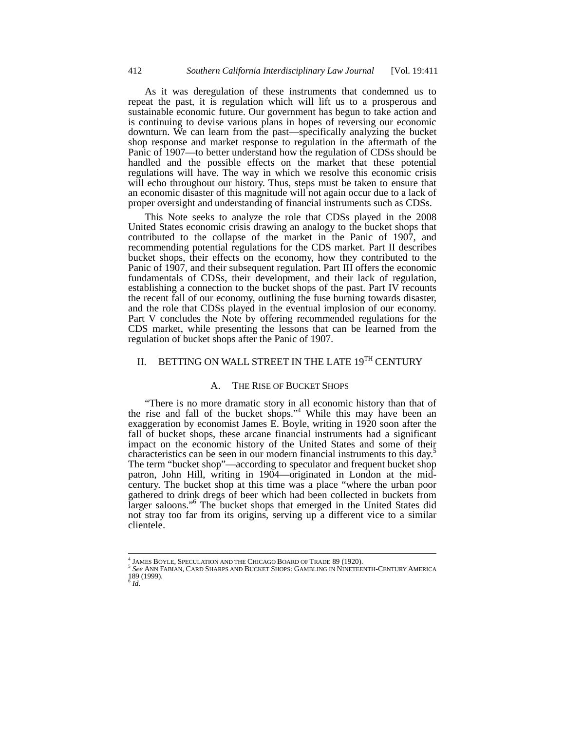As it was deregulation of these instruments that condemned us to repeat the past, it is regulation which will lift us to a prosperous and sustainable economic future. Our government has begun to take action and is continuing to devise various plans in hopes of reversing our economic downturn. We can learn from the past—specifically analyzing the bucket shop response and market response to regulation in the aftermath of the Panic of 1907—to better understand how the regulation of CDSs should be handled and the possible effects on the market that these potential regulations will have. The way in which we resolve this economic crisis will echo throughout our history. Thus, steps must be taken to ensure that an economic disaster of this magnitude will not again occur due to a lack of proper oversight and understanding of financial instruments such as CDSs.

This Note seeks to analyze the role that CDSs played in the 2008 United States economic crisis drawing an analogy to the bucket shops that contributed to the collapse of the market in the Panic of 1907, and recommending potential regulations for the CDS market. Part II describes bucket shops, their effects on the economy, how they contributed to the Panic of 1907, and their subsequent regulation. Part III offers the economic fundamentals of CDSs, their development, and their lack of regulation, establishing a connection to the bucket shops of the past. Part IV recounts the recent fall of our economy, outlining the fuse burning towards disaster, and the role that CDSs played in the eventual implosion of our economy. Part V concludes the Note by offering recommended regulations for the CDS market, while presenting the lessons that can be learned from the regulation of bucket shops after the Panic of 1907.

## II. BETTING ON WALL STREET IN THE LATE 19<sup>TH</sup> CENTURY

## A. THE RISE OF BUCKET SHOPS

"There is no more dramatic story in all economic history than that of the rise and fall of the bucket shops."4 While this may have been an exaggeration by economist James E. Boyle, writing in 1920 soon after the fall of bucket shops, these arcane financial instruments had a significant impact on the economic history of the United States and some of their characteristics can be seen in our modern financial instruments to this day.<sup>5</sup> The term "bucket shop"—according to speculator and frequent bucket shop patron, John Hill, writing in 1904—originated in London at the midcentury. The bucket shop at this time was a place "where the urban poor gathered to drink dregs of beer which had been collected in buckets from larger saloons."<sup>6</sup> The bucket shops that emerged in the United States did not stray too far from its origins, serving up a different vice to a similar clientele.

<sup>&</sup>lt;sup>4</sup> JAMES BOYLE, SPECULATION AND THE CHICAGO BOARD OF TRADE 89 (1920). <sup>5</sup> *See* Ann Fabian, Card Sharps and Bucket Shops: Gambling in Nineteenth-Century America 189 (1999). <sup>6</sup> *Id.*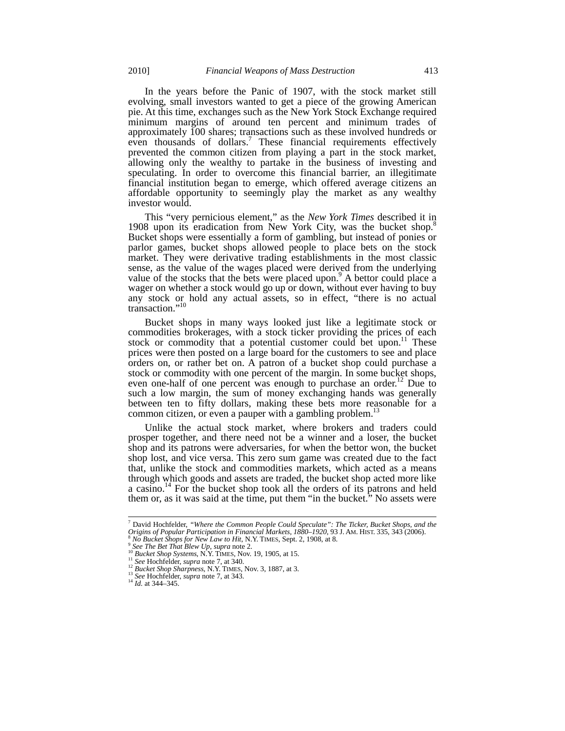In the years before the Panic of 1907, with the stock market still evolving, small investors wanted to get a piece of the growing American pie. At this time, exchanges such as the New York Stock Exchange required minimum margins of around ten percent and minimum trades of approximately 100 shares; transactions such as these involved hundreds or even thousands of dollars.<sup>7</sup> These financial requirements effectively prevented the common citizen from playing a part in the stock market, allowing only the wealthy to partake in the business of investing and speculating. In order to overcome this financial barrier, an illegitimate financial institution began to emerge, which offered average citizens an affordable opportunity to seemingly play the market as any wealthy investor would.

This "very pernicious element," as the *New York Times* described it in 1908 upon its eradication from New York City, was the bucket shop.<sup>8</sup> Bucket shops were essentially a form of gambling, but instead of ponies or parlor games, bucket shops allowed people to place bets on the stock market. They were derivative trading establishments in the most classic sense, as the value of the wages placed were derived from the underlying value of the stocks that the bets were placed upon.<sup>9</sup> A bettor could place a wager on whether a stock would go up or down, without ever having to buy any stock or hold any actual assets, so in effect, "there is no actual transaction."<sup>10</sup>

Bucket shops in many ways looked just like a legitimate stock or commodities brokerages, with a stock ticker providing the prices of each stock or commodity that a potential customer could bet upon.<sup>11</sup> These prices were then posted on a large board for the customers to see and place orders on, or rather bet on. A patron of a bucket shop could purchase a stock or commodity with one percent of the margin. In some bucket shops, even one-half of one percent was enough to purchase an order.<sup>12</sup> Due to such a low margin, the sum of money exchanging hands was generally between ten to fifty dollars, making these bets more reasonable for a common citizen, or even a pauper with a gambling problem.<sup>13</sup>

Unlike the actual stock market, where brokers and traders could prosper together, and there need not be a winner and a loser, the bucket shop and its patrons were adversaries, for when the bettor won, the bucket shop lost, and vice versa. This zero sum game was created due to the fact that, unlike the stock and commodities markets, which acted as a means through which goods and assets are traded, the bucket shop acted more like a casino.<sup>14</sup> For the bucket shop took all the orders of its patrons and held them or, as it was said at the time, put them "in the bucket." No assets were

<sup>7</sup> David Hochfelder, *"Where the Common People Could Speculate": The Ticker, Bucket Shops, and the*  Origins of Popular Participation in Financial Markets, 1880–1920, 93 J. AM. HIST. 335, 343 (2006).<br><sup>8</sup> No Bucket Shops for New Law to Hit, N.Y. TIMES, Sept. 2, 1908, at 8.<br><sup>9</sup> See The Bet That Blew Up, supra note 2.<br><sup>10</sup>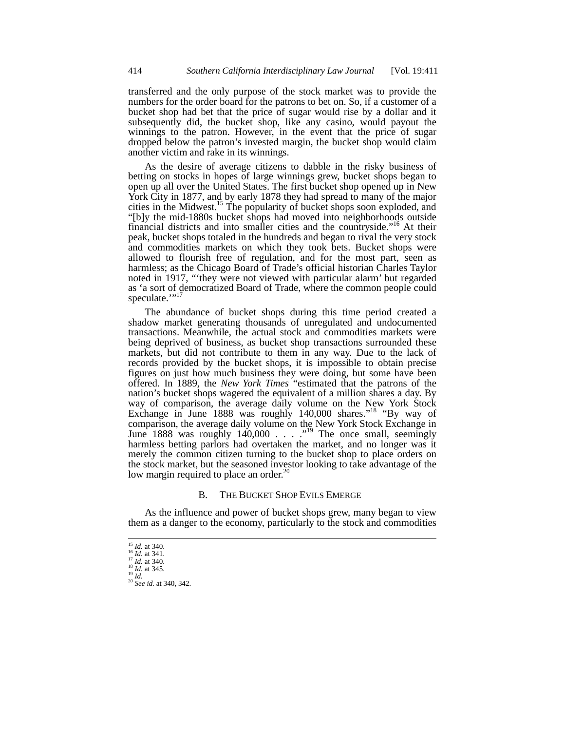transferred and the only purpose of the stock market was to provide the numbers for the order board for the patrons to bet on. So, if a customer of a bucket shop had bet that the price of sugar would rise by a dollar and it subsequently did, the bucket shop, like any casino, would payout the winnings to the patron. However, in the event that the price of sugar dropped below the patron's invested margin, the bucket shop would claim another victim and rake in its winnings.

As the desire of average citizens to dabble in the risky business of betting on stocks in hopes of large winnings grew, bucket shops began to open up all over the United States. The first bucket shop opened up in New York City in 1877, and by early 1878 they had spread to many of the major cities in the Midwest.<sup>15</sup> The popularity of bucket shops soon exploded, and "[b]y the mid-1880s bucket shops had moved into neighborhoods outside financial districts and into smaller cities and the countryside."16 At their peak, bucket shops totaled in the hundreds and began to rival the very stock and commodities markets on which they took bets. Bucket shops were allowed to flourish free of regulation, and for the most part, seen as harmless; as the Chicago Board of Trade's official historian Charles Taylor noted in 1917, "'they were not viewed with particular alarm' but regarded as 'a sort of democratized Board of Trade, where the common people could speculate."

The abundance of bucket shops during this time period created a shadow market generating thousands of unregulated and undocumented transactions. Meanwhile, the actual stock and commodities markets were being deprived of business, as bucket shop transactions surrounded these markets, but did not contribute to them in any way. Due to the lack of records provided by the bucket shops, it is impossible to obtain precise figures on just how much business they were doing, but some have been offered. In 1889, the *New York Times* "estimated that the patrons of the nation's bucket shops wagered the equivalent of a million shares a day. By way of comparison, the average daily volume on the New York Stock Exchange in June 1888 was roughly 140,000 shares."<sup>18</sup> "By way of comparison, the average daily volume on the New York Stock Exchange in June 1888 was roughly 140,000 . . . . .<sup>19</sup> The once small, seemingly harmless betting parlors had overtaken the market, and no longer was it merely the common citizen turning to the bucket shop to place orders on the stock market, but the seasoned investor looking to take advantage of the low margin required to place an order.<sup>20</sup>

## B. THE BUCKET SHOP EVILS EMERGE

As the influence and power of bucket shops grew, many began to view them as a danger to the economy, particularly to the stock and commodities

 $15$  *Id.* at 340.

<sup>15</sup> *Id.* at 340. <sup>16</sup> *Id.* at 341. <sup>17</sup> *Id.* at 340. <sup>18</sup> *Id.* at 345. <sup>19</sup> *Id.* <sup>20</sup> *See id.* at 340, 342.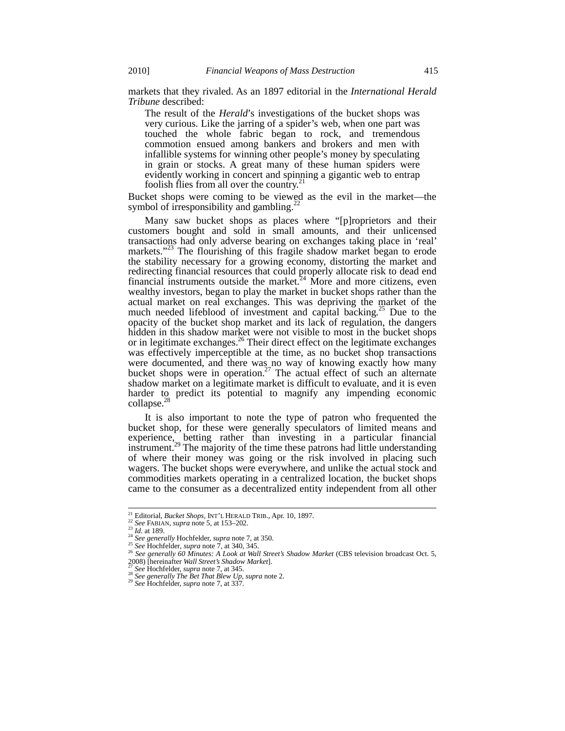markets that they rivaled. As an 1897 editorial in the *International Herald Tribune* described:

The result of the *Herald*'s investigations of the bucket shops was very curious. Like the jarring of a spider's web, when one part was touched the whole fabric began to rock, and tremendous commotion ensued among bankers and brokers and men with infallible systems for winning other people's money by speculating in grain or stocks. A great many of these human spiders were evidently working in concert and spinning a gigantic web to entrap foolish flies from all over the country.<sup>21</sup>

Bucket shops were coming to be viewed as the evil in the market—the symbol of irresponsibility and gambling.<sup>2</sup>

Many saw bucket shops as places where "[p]roprietors and their customers bought and sold in small amounts, and their unlicensed transactions had only adverse bearing on exchanges taking place in 'real' markets."<sup>23</sup> The flourishing of this fragile shadow market began to erode the stability necessary for a growing economy, distorting the market and redirecting financial resources that could properly allocate risk to dead end financial instruments outside the market. $24$  More and more citizens, even wealthy investors, began to play the market in bucket shops rather than the actual market on real exchanges. This was depriving the market of the much needed lifeblood of investment and capital backing.<sup>25</sup> Due to the opacity of the bucket shop market and its lack of regulation, the dangers hidden in this shadow market were not visible to most in the bucket shops or in legitimate exchanges.<sup>26</sup> Their direct effect on the legitimate exchanges was effectively imperceptible at the time, as no bucket shop transactions were documented, and there was no way of knowing exactly how many bucket shops were in operation.<sup>27</sup> The actual effect of such an alternate shadow market on a legitimate market is difficult to evaluate, and it is even harder to predict its potential to magnify any impending economic collapse.<sup>28</sup>

It is also important to note the type of patron who frequented the bucket shop, for these were generally speculators of limited means and experience, betting rather than investing in a particular financial instrument.<sup>29</sup> The majority of the time these patrons had little understanding of where their money was going or the risk involved in placing such wagers. The bucket shops were everywhere, and unlike the actual stock and commodities markets operating in a centralized location, the bucket shops came to the consumer as a decentralized entity independent from all other

<sup>&</sup>lt;sup>21</sup> Editorial, *Bucket Shops*, INT'L HERALD TRIB., Apr. 10, 1897.

<sup>22</sup> See FABIAN, supra note 5, at 153–202.<br>
<sup>22</sup> See FABIAN, supra note 5, at 153–202.<br>
<sup>23</sup> Id. at 189.<br>
<sup>24</sup> See generally Hochfelder, supra note 7, at 350.<br>
<sup>25</sup> See Hochfelder, supra note 7, at 340, 345.<br>
<sup>26</sup> See gener

<sup>&</sup>lt;sup>2/</sup> See Hochfelder, *supra* note 7, at 345.<br><sup>28</sup> See generally The Bet That Blew Up, *supra* note 2.<br><sup>29</sup> See Hochfelder, *supra* note 7, at 337.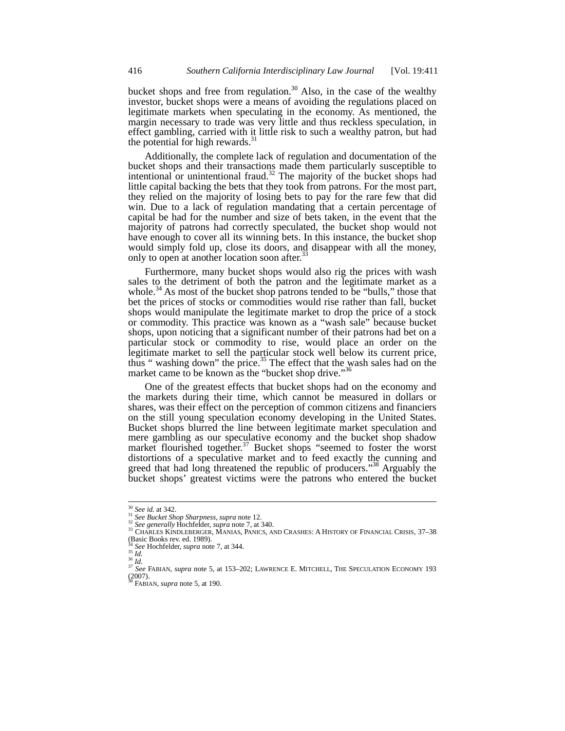bucket shops and free from regulation.<sup>30</sup> Also, in the case of the wealthy investor, bucket shops were a means of avoiding the regulations placed on legitimate markets when speculating in the economy. As mentioned, the margin necessary to trade was very little and thus reckless speculation, in effect gambling, carried with it little risk to such a wealthy patron, but had the potential for high rewards.<sup>3</sup>

Additionally, the complete lack of regulation and documentation of the bucket shops and their transactions made them particularly susceptible to intentional or unintentional fraud.<sup>32</sup> The majority of the bucket shops had little capital backing the bets that they took from patrons. For the most part, they relied on the majority of losing bets to pay for the rare few that did win. Due to a lack of regulation mandating that a certain percentage of capital be had for the number and size of bets taken, in the event that the majority of patrons had correctly speculated, the bucket shop would not have enough to cover all its winning bets. In this instance, the bucket shop would simply fold up, close its doors, and disappear with all the money, only to open at another location soon after.<sup>33</sup>

Furthermore, many bucket shops would also rig the prices with wash sales to the detriment of both the patron and the legitimate market as a whole.<sup>34</sup> As most of the bucket shop patrons tended to be "bulls," those that bet the prices of stocks or commodities would rise rather than fall, bucket shops would manipulate the legitimate market to drop the price of a stock or commodity. This practice was known as a "wash sale" because bucket shops, upon noticing that a significant number of their patrons had bet on a particular stock or commodity to rise, would place an order on the legitimate market to sell the particular stock well below its current price, thus " washing down" the price.<sup>35</sup> The effect that the wash sales had on the market came to be known as the "bucket shop drive."<sup>36</sup>

One of the greatest effects that bucket shops had on the economy and the markets during their time, which cannot be measured in dollars or shares, was their effect on the perception of common citizens and financiers on the still young speculation economy developing in the United States. Bucket shops blurred the line between legitimate market speculation and mere gambling as our speculative economy and the bucket shop shadow market flourished together.<sup>37</sup> Bucket shops "seemed to foster the worst distortions of a speculative market and to feed exactly the cunning and greed that had long threatened the republic of producers."<sup>38</sup> Arguably the bucket shops' greatest victims were the patrons who entered the bucket

 $^{\rm 30}$  See id. at 342.

<sup>33</sup> *See id. at 342.*<br><sup>31</sup> *See Bucket Shop Sharpness, supra* note 12.<br><sup>32</sup> *See generally* Hochfelder, *supra* note 7, at 340.<br><sup>33</sup> CHARLES KINDLEBERGER, MANIAS, PANICS, AND CRASHES: A HISTORY OF FINANCIAL CRISIS, 37–38 (Basic Books rev. ed. 1989).<br> $34$  See Hochfelder, *supra* note 7, at 344.<br> $35$  Id.

<sup>&</sup>lt;sup>34</sup> *See* Hochfelder, *supra* note 7, at 344.<br><sup>35</sup> *Id.*<br><sup>36</sup> *Id.* 36 *Id.* 36 *Id.* 37 *See* FABIAN, *supra* note 5, at 153–202; LAWRENCE E. MITCHELL, THE SPECULATION ECONOMY 193 (2007). (2007).<br><sup>38</sup> FABIAN, *supra* note 5, at 190.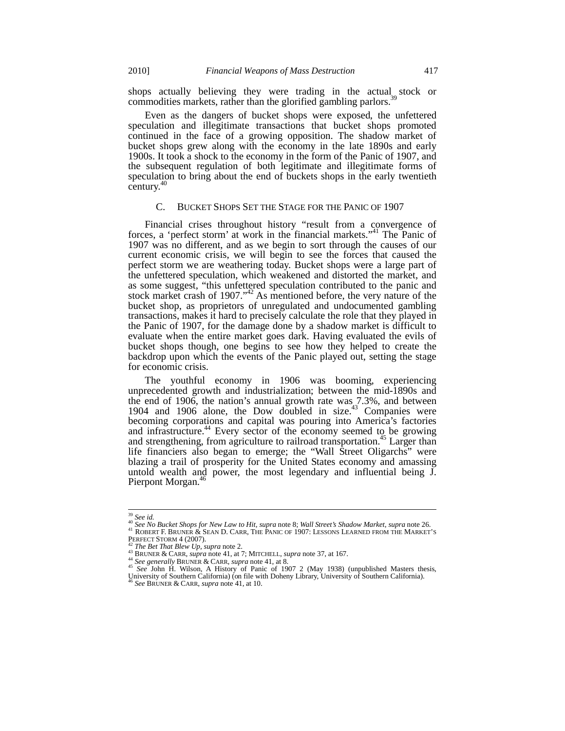shops actually believing they were trading in the actual stock or commodities markets, rather than the glorified gambling parlors.<sup>39</sup>

Even as the dangers of bucket shops were exposed, the unfettered speculation and illegitimate transactions that bucket shops promoted continued in the face of a growing opposition. The shadow market of bucket shops grew along with the economy in the late 1890s and early 1900s. It took a shock to the economy in the form of the Panic of 1907, and the subsequent regulation of both legitimate and illegitimate forms of speculation to bring about the end of buckets shops in the early twentieth century.<sup>40</sup>

## C. BUCKET SHOPS SET THE STAGE FOR THE PANIC OF 1907

Financial crises throughout history "result from a convergence of forces, a 'perfect storm' at work in the financial markets."41 The Panic of 1907 was no different, and as we begin to sort through the causes of our current economic crisis, we will begin to see the forces that caused the perfect storm we are weathering today. Bucket shops were a large part of the unfettered speculation, which weakened and distorted the market, and as some suggest, "this unfettered speculation contributed to the panic and stock market crash of  $1907.^{42}$  As mentioned before, the very nature of the bucket shop, as proprietors of unregulated and undocumented gambling transactions, makes it hard to precisely calculate the role that they played in the Panic of 1907, for the damage done by a shadow market is difficult to evaluate when the entire market goes dark. Having evaluated the evils of bucket shops though, one begins to see how they helped to create the backdrop upon which the events of the Panic played out, setting the stage for economic crisis.

The youthful economy in 1906 was booming, experiencing unprecedented growth and industrialization; between the mid-1890s and the end of 1906, the nation's annual growth rate was  $7.3\%$ , and between 1904 and 1906 alone, the Dow doubled in size. $43$  Companies were becoming corporations and capital was pouring into America's factories and infrastructure.<sup>44</sup> Every sector of the economy seemed to be growing and strengthening, from agriculture to railroad transportation.<sup>45</sup> Larger than life financiers also began to emerge; the "Wall Street Oligarchs" were blazing a trail of prosperity for the United States economy and amassing untold wealth and power, the most legendary and influential being J. Pierpont Morgan.<sup>46</sup>

<sup>&</sup>lt;sup>39</sup> See id.<br><sup>40</sup> See No Bucket Shops for New Law to Hit, supra note 8; Wall Street's Shadow Market, supra note 26.<br><sup>41</sup> ROBERT F. BRUNER & SEAN D. CARR, THE PANIC OF 1907: LESSONS LEARNED FROM THE MARKET'S <sup>41</sup> ROBERT F. BRUNER & SEAN D. CARR, THE PANIC OF 1907: LESSONS LEARNED FROM THE MARKET'S PERFECT STORM 4 (2007).<br><sup>43</sup> The Bet That Blew Up, supra note 2.<br><sup>43</sup> BRUNER & CARR, supra note 41, at 7; MITCHELL, supra note 37,

University of Southern California) (on file with Doheny Library, University of Southern California). <sup>46</sup> *See* BRUNER & CARR, *supra* note 41, at 10.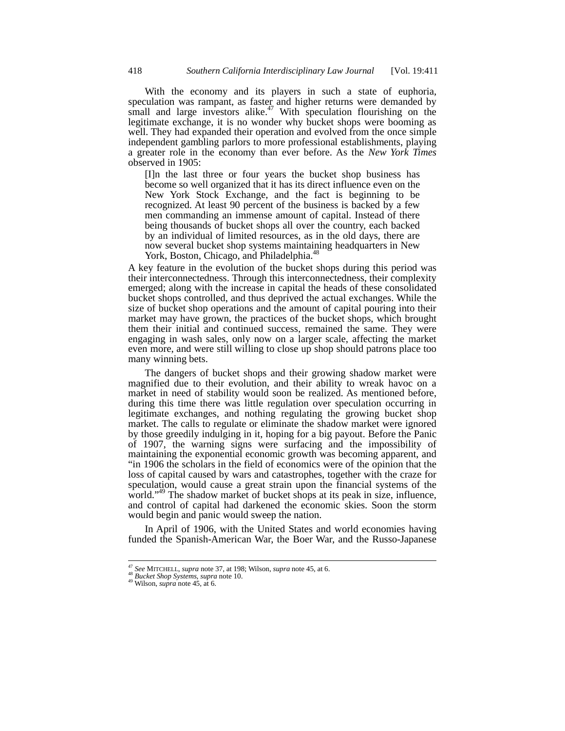With the economy and its players in such a state of euphoria, speculation was rampant, as faster and higher returns were demanded by small and large investors alike.<sup>47</sup> With speculation flourishing on the legitimate exchange, it is no wonder why bucket shops were booming as well. They had expanded their operation and evolved from the once simple independent gambling parlors to more professional establishments, playing a greater role in the economy than ever before. As the *New York Times* observed in 1905:

[I]n the last three or four years the bucket shop business has become so well organized that it has its direct influence even on the New York Stock Exchange, and the fact is beginning to be recognized. At least 90 percent of the business is backed by a few men commanding an immense amount of capital. Instead of there being thousands of bucket shops all over the country, each backed by an individual of limited resources, as in the old days, there are now several bucket shop systems maintaining headquarters in New York, Boston, Chicago, and Philadelphia.<sup>48</sup>

A key feature in the evolution of the bucket shops during this period was their interconnectedness. Through this interconnectedness, their complexity emerged; along with the increase in capital the heads of these consolidated bucket shops controlled, and thus deprived the actual exchanges. While the size of bucket shop operations and the amount of capital pouring into their market may have grown, the practices of the bucket shops, which brought them their initial and continued success, remained the same. They were engaging in wash sales, only now on a larger scale, affecting the market even more, and were still willing to close up shop should patrons place too many winning bets.

The dangers of bucket shops and their growing shadow market were magnified due to their evolution, and their ability to wreak havoc on a market in need of stability would soon be realized. As mentioned before, during this time there was little regulation over speculation occurring in legitimate exchanges, and nothing regulating the growing bucket shop market. The calls to regulate or eliminate the shadow market were ignored by those greedily indulging in it, hoping for a big payout. Before the Panic of 1907, the warning signs were surfacing and the impossibility of maintaining the exponential economic growth was becoming apparent, and "in 1906 the scholars in the field of economics were of the opinion that the loss of capital caused by wars and catastrophes, together with the craze for speculation, would cause a great strain upon the financial systems of the world."<sup>49</sup> The shadow market of bucket shops at its peak in size, influence, and control of capital had darkened the economic skies. Soon the storm would begin and panic would sweep the nation.

In April of 1906, with the United States and world economies having funded the Spanish-American War, the Boer War, and the Russo-Japanese

<sup>47</sup> *See* MITCHELL, *supra* note 37, at 198; Wilson, *supra* note 45, at 6. <sup>48</sup> *Bucket Shop Systems*, *supra* note 10. <sup>49</sup> Wilson, *supra* note 45, at 6.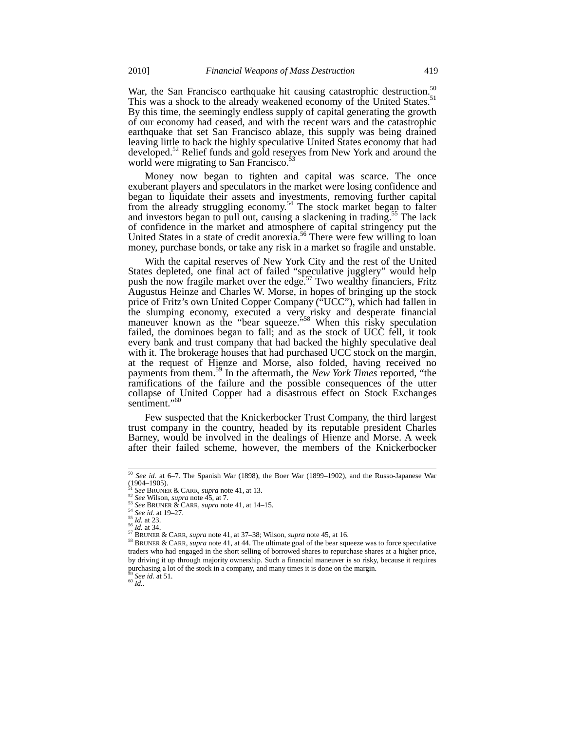War, the San Francisco earthquake hit causing catastrophic destruction.<sup>50</sup> This was a shock to the already weakened economy of the United States.<sup>51</sup> By this time, the seemingly endless supply of capital generating the growth of our economy had ceased, and with the recent wars and the catastrophic earthquake that set San Francisco ablaze, this supply was being drained leaving little to back the highly speculative United States economy that had developed.<sup>52</sup> Relief funds and gold reserves from New York and around the world were migrating to San Francisco.<sup>53</sup>

Money now began to tighten and capital was scarce. The once exuberant players and speculators in the market were losing confidence and began to liquidate their assets and investments, removing further capital from the already struggling economy.<sup>54</sup> The stock market began to falter and investors began to pull out, causing a slackening in trading. $55$  The lack of confidence in the market and atmosphere of capital stringency put the United States in a state of credit anorexia.<sup>56</sup> There were few willing to loan money, purchase bonds, or take any risk in a market so fragile and unstable.

With the capital reserves of New York City and the rest of the United States depleted, one final act of failed "speculative jugglery" would help push the now fragile market over the edge.<sup>57</sup> Two wealthy financiers, Fritz Augustus Heinze and Charles W. Morse, in hopes of bringing up the stock price of Fritz's own United Copper Company ("UCC"), which had fallen in the slumping economy, executed a very risky and desperate financial maneuver known as the "bear squeeze.<sup>558</sup> When this risky speculation failed, the dominoes began to fall; and as the stock of UCC fell, it took every bank and trust company that had backed the highly speculative deal with it. The brokerage houses that had purchased UCC stock on the margin, at the request of Hienze and Morse, also folded, having received no payments from them.<sup>59</sup> In the aftermath, the *New York Times* reported, "the ramifications of the failure and the possible consequences of the utter collapse of United Copper had a disastrous effect on Stock Exchanges sentiment."<sup>60</sup>

Few suspected that the Knickerbocker Trust Company, the third largest trust company in the country, headed by its reputable president Charles Barney, would be involved in the dealings of Hienze and Morse. A week after their failed scheme, however, the members of the Knickerbocker

<sup>50</sup> *See id.* at 6–7. The Spanish War (1898), the Boer War (1899–1902), and the Russo-Japanese War (1904–1905).<br>
(1904–1905).<br>
<sup>51</sup> See BRUNER & CARR, *supra* note 41, at 13.

See Divison, supra note 45, at 7.<br>
<sup>53</sup> See BRUNER & CARR, supra note 41, at 14–15.<br>
<sup>54</sup> See id. at 19–27.<br>
<sup>55</sup> Id. at 23.<br>
<sup>56</sup> Mat 34.<br>
<sup>56</sup> Mat 34.<br>
<sup>57</sup> BRUNER & CARR, supra note 41, at 37–38; Wilson, *supra* note 4 traders who had engaged in the short selling of borrowed shares to repurchase shares at a higher price, by driving it up through majority ownership. Such a financial maneuver is so risky, because it requires purchasing a lot of the stock in a company, and many times it is done on the margin. <sup>59</sup> *See id.* at 51. <sup>60</sup> *Id.*.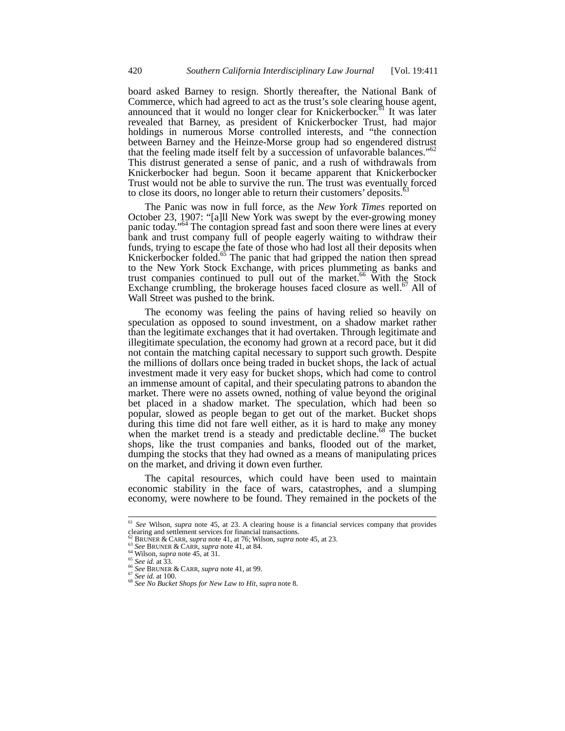board asked Barney to resign. Shortly thereafter, the National Bank of Commerce, which had agreed to act as the trust's sole clearing house agent, announced that it would no longer clear for Knickerbocker.<sup>61</sup> It was later revealed that Barney, as president of Knickerbocker Trust, had major holdings in numerous Morse controlled interests, and "the connection between Barney and the Heinze-Morse group had so engendered distrust that the feeling made itself felt by a succession of unfavorable balances."<sup>62</sup> This distrust generated a sense of panic, and a rush of withdrawals from Knickerbocker had begun. Soon it became apparent that Knickerbocker Trust would not be able to survive the run. The trust was eventually forced to close its doors, no longer able to return their customers' deposits.<sup>6</sup>

The Panic was now in full force, as the *New York Times* reported on October 23, 1907: "[a]ll New York was swept by the ever-growing money panic today."<sup>64</sup> The contagion spread fast and soon there were lines at every bank and trust company full of people eagerly waiting to withdraw their funds, trying to escape the fate of those who had lost all their deposits when Knickerbocker folded.<sup>65</sup> The panic that had gripped the nation then spread to the New York Stock Exchange, with prices plummeting as banks and trust companies continued to pull out of the market.<sup>66</sup> With the Stock Exchange crumbling, the brokerage houses faced closure as well. $67$  All of Wall Street was pushed to the brink.

The economy was feeling the pains of having relied so heavily on speculation as opposed to sound investment, on a shadow market rather than the legitimate exchanges that it had overtaken. Through legitimate and illegitimate speculation, the economy had grown at a record pace, but it did not contain the matching capital necessary to support such growth. Despite the millions of dollars once being traded in bucket shops, the lack of actual investment made it very easy for bucket shops, which had come to control an immense amount of capital, and their speculating patrons to abandon the market. There were no assets owned, nothing of value beyond the original bet placed in a shadow market. The speculation, which had been so popular, slowed as people began to get out of the market. Bucket shops during this time did not fare well either, as it is hard to make any money when the market trend is a steady and predictable decline.<sup>68</sup> The bucket shops, like the trust companies and banks, flooded out of the market, dumping the stocks that they had owned as a means of manipulating prices on the market, and driving it down even further.

The capital resources, which could have been used to maintain economic stability in the face of wars, catastrophes, and a slumping economy, were nowhere to be found. They remained in the pockets of the

<sup>61</sup> *See* Wilson, *supra* note 45, at 23. A clearing house is a financial services company that provides clearing and settlement services for financial transactions.<br><sup>62</sup> BRUNER & CARR, *supra* note 41, at 76; Wilson, *supra* note 45, at 23.

<sup>&</sup>lt;sup>63</sup> See BRUNER & CARR, *supra* note 41, at 84.<br><sup>64</sup> Wilson, *supra* note 45, at 31.<br><sup>65</sup> See id. at 33.<br><sup>66</sup> See BRUNER & CARR, *supra* note 41, at 99.<br><sup>67</sup> See id. at 100.<br><sup>68</sup> See No Bucket Shops for New Law to Hit, su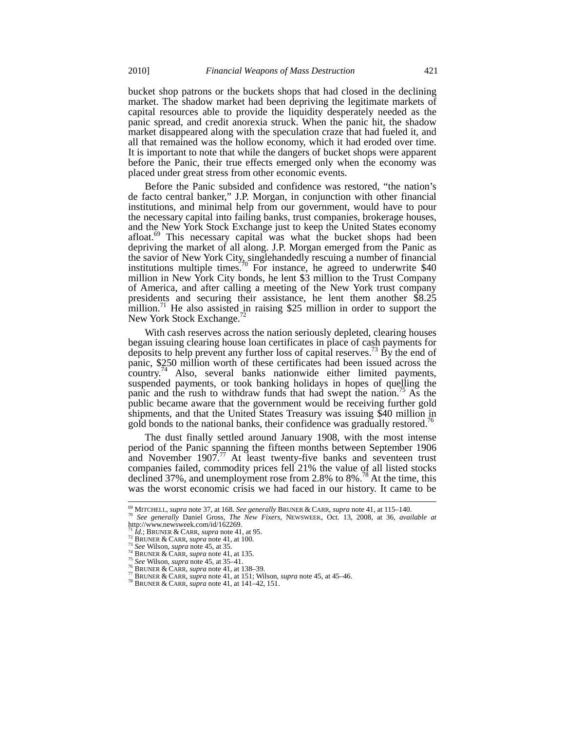bucket shop patrons or the buckets shops that had closed in the declining market. The shadow market had been depriving the legitimate markets of capital resources able to provide the liquidity desperately needed as the panic spread, and credit anorexia struck. When the panic hit, the shadow market disappeared along with the speculation craze that had fueled it, and all that remained was the hollow economy, which it had eroded over time. It is important to note that while the dangers of bucket shops were apparent before the Panic, their true effects emerged only when the economy was placed under great stress from other economic events.

Before the Panic subsided and confidence was restored, "the nation's de facto central banker," J.P. Morgan, in conjunction with other financial institutions, and minimal help from our government, would have to pour the necessary capital into failing banks, trust companies, brokerage houses, and the New York Stock Exchange just to keep the United States economy afloat.<sup>69</sup> This necessary capital was what the bucket shops had been depriving the market of all along. J.P. Morgan emerged from the Panic as the savior of New York City, singlehandedly rescuing a number of financial institutions multiple times.<sup>70</sup> For instance, he agreed to underwrite \$40 million in New York City bonds, he lent \$3 million to the Trust Company of America, and after calling a meeting of the New York trust company presidents and securing their assistance, he lent them another \$8.25 million.<sup>71</sup> He also assisted in raising \$25 million in order to support the New York Stock Exchange.<sup>72</sup>

With cash reserves across the nation seriously depleted, clearing houses began issuing clearing house loan certificates in place of cash payments for deposits to help prevent any further loss of capital reserves.<sup>73</sup> By the end of panic, \$250 million worth of these certificates had been issued across the country.74 Also, several banks nationwide either limited payments, suspended payments, or took banking holidays in hopes of quelling the panic and the rush to withdraw funds that had swept the nation.<sup>15</sup> As the public became aware that the government would be receiving further gold shipments, and that the United States Treasury was issuing \$40 million in gold bonds to the national banks, their confidence was gradually restored.<sup>76</sup>

The dust finally settled around January 1908, with the most intense period of the Panic spanning the fifteen months between September 1906 and November  $1907<sup>77</sup>$  At least twenty-five banks and seventeen trust companies failed, commodity prices fell 21% the value of all listed stocks declined 37%, and unemployment rose from 2.8% to 8%.<sup>78</sup> At the time, this was the worst economic crisis we had faced in our history. It came to be

<sup>&</sup>lt;sup>69</sup> MITCHELL, *supra* note 37, at 168. *See generally* BRUNER & CARR, *supra* note 41, at 115–140.<br><sup>70</sup> See generally Daniel Gross, *The New Firers*, NEWSWEEK, Oct. 13, 2008, at 36, avai

<sup>&</sup>lt;sup>69</sup> MITCHELL, *supra* note 37, at 168. *See generally* BRUNER & CARR, *supra* note 41, at 115–140.<br><sup>70</sup> *See generally* Daniel Gross, *The New Fixers*, NEWSWEEK, Oct. 13, 2008, at 36, *available at* http://www.newsweek.c

<sup>&</sup>lt;sup>71</sup> *Id.*; BRUNER & CARR, *supra* note 41, at 95.<br><sup>72</sup> BRUNER & CARR, *supra* note 41, at 100.<br><sup>74</sup> See Wilson, *supra* note 45, at 35.<br><sup>74</sup> BRUNER & CARR, *supra* note 41, at 135.<br><sup>75</sup> See Wilson, *supra* note 45, at 35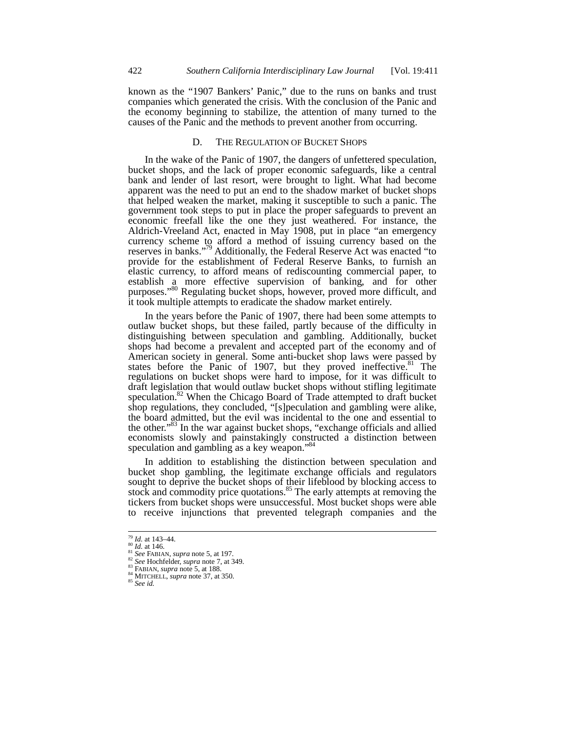known as the "1907 Bankers' Panic," due to the runs on banks and trust companies which generated the crisis. With the conclusion of the Panic and the economy beginning to stabilize, the attention of many turned to the causes of the Panic and the methods to prevent another from occurring.

## D. THE REGULATION OF BUCKET SHOPS

In the wake of the Panic of 1907, the dangers of unfettered speculation, bucket shops, and the lack of proper economic safeguards, like a central bank and lender of last resort, were brought to light. What had become apparent was the need to put an end to the shadow market of bucket shops that helped weaken the market, making it susceptible to such a panic. The government took steps to put in place the proper safeguards to prevent an economic freefall like the one they just weathered. For instance, the Aldrich-Vreeland Act, enacted in May 1908, put in place "an emergency currency scheme to afford a method of issuing currency based on the reserves in banks."<sup>79</sup> Additionally, the Federal Reserve Act was enacted "to provide for the establishment of Federal Reserve Banks, to furnish an elastic currency, to afford means of rediscounting commercial paper, to establish a more effective supervision of banking, and for other purposes."<sup>80</sup> Regulating bucket shops, however, proved more difficult, and it took multiple attempts to eradicate the shadow market entirely.

In the years before the Panic of 1907, there had been some attempts to outlaw bucket shops, but these failed, partly because of the difficulty in distinguishing between speculation and gambling. Additionally, bucket shops had become a prevalent and accepted part of the economy and of American society in general. Some anti-bucket shop laws were passed by states before the Panic of 1907, but they proved ineffective.<sup>81</sup> The regulations on bucket shops were hard to impose, for it was difficult to draft legislation that would outlaw bucket shops without stifling legitimate speculation.<sup>82</sup> When the Chicago Board of Trade attempted to draft bucket shop regulations, they concluded, "[s]peculation and gambling were alike, the board admitted, but the evil was incidental to the one and essential to the other.<sup>83</sup> In the war against bucket shops, "exchange officials and allied economists slowly and painstakingly constructed a distinction between speculation and gambling as a key weapon."<sup>84</sup>

In addition to establishing the distinction between speculation and bucket shop gambling, the legitimate exchange officials and regulators sought to deprive the bucket shops of their lifeblood by blocking access to stock and commodity price quotations.<sup>85</sup> The early attempts at removing the tickers from bucket shops were unsuccessful. Most bucket shops were able to receive injunctions that prevented telegraph companies and the

 $^{79}$  *Id.* at 143–44.<br><sup>80</sup> *Id.* at 146.

<sup>&</sup>lt;sup>81</sup> See FABIAN, *supra* note 5, at 197.<br>
<sup>82</sup> See HABIAN, *supra* note 7, at 349.<br>
<sup>83</sup> FABIAN, *supra* note 5, at 188.<br>
<sup>84</sup> MITCHELL, *supra* note 37, at 350.<br>
<sup>85</sup> See id.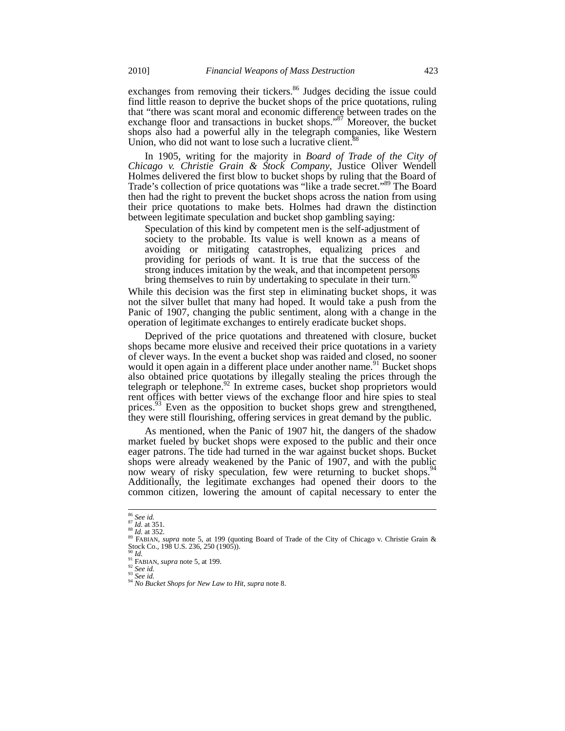exchanges from removing their tickers.<sup>86</sup> Judges deciding the issue could find little reason to deprive the bucket shops of the price quotations, ruling that "there was scant moral and economic difference between trades on the exchange floor and transactions in bucket shops."<sup>87</sup> Moreover, the bucket shops also had a powerful ally in the telegraph companies, like Western Union, who did not want to lose such a lucrative client. $\frac{8}{3}$ 

In 1905, writing for the majority in *Board of Trade of the City of Chicago v. Christie Grain & Stock Company*, Justice Oliver Wendell Holmes delivered the first blow to bucket shops by ruling that the Board of Trade's collection of price quotations was "like a trade secret."<sup>89</sup> The Board then had the right to prevent the bucket shops across the nation from using their price quotations to make bets. Holmes had drawn the distinction between legitimate speculation and bucket shop gambling saying:

Speculation of this kind by competent men is the self-adjustment of society to the probable. Its value is well known as a means of avoiding or mitigating catastrophes, equalizing prices and providing for periods of want. It is true that the success of the strong induces imitation by the weak, and that incompetent persons bring themselves to ruin by undertaking to speculate in their turn.<sup>90</sup>

While this decision was the first step in eliminating bucket shops, it was not the silver bullet that many had hoped. It would take a push from the Panic of 1907, changing the public sentiment, along with a change in the operation of legitimate exchanges to entirely eradicate bucket shops.

Deprived of the price quotations and threatened with closure, bucket shops became more elusive and received their price quotations in a variety of clever ways. In the event a bucket shop was raided and closed, no sooner would it open again in a different place under another name.<sup>91</sup> Bucket shops also obtained price quotations by illegally stealing the prices through the telegraph or telephone.<sup>92</sup> In extreme cases, bucket shop proprietors would rent offices with better views of the exchange floor and hire spies to steal prices.<sup>93</sup> Even as the opposition to bucket shops grew and strengthened, they were still flourishing, offering services in great demand by the public.

As mentioned, when the Panic of 1907 hit, the dangers of the shadow market fueled by bucket shops were exposed to the public and their once eager patrons. The tide had turned in the war against bucket shops. Bucket shops were already weakened by the Panic of 1907, and with the public now weary of risky speculation, few were returning to bucket shops.<sup>94</sup> Additionally, the legitimate exchanges had opened their doors to the common citizen, lowering the amount of capital necessary to enter the

 $\frac{86}{87}$  *See id.*<br><sup>87</sup> *Id.* at 351.

<sup>&</sup>lt;sup>86</sup> See id.<br><sup>87</sup> Id. at 351.<br><sup>88</sup> Id. at 352.<br><sup>89</sup> FABIAN, *supra* note 5, at 199 (quoting Board of Trade of the City of Chicago v. Christie Grain &<br>Stock Co., 198 U.S. 236, 250 (1905)).

<sup>90</sup> *Id.* <sup>91</sup> FABIAN, *supra* note 5, at 199. <sup>92</sup> *See id.* <sup>93</sup> *See id.* <sup>94</sup> *No Bucket Shops for New Law to Hit, supra* note 8.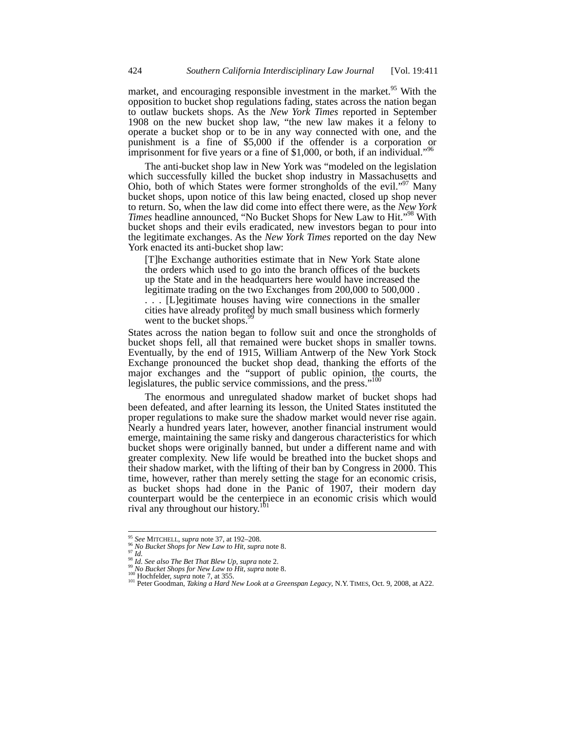market, and encouraging responsible investment in the market.<sup>95</sup> With the opposition to bucket shop regulations fading, states across the nation began to outlaw buckets shops. As the *New York Times* reported in September 1908 on the new bucket shop law, "the new law makes it a felony to operate a bucket shop or to be in any way connected with one, and the punishment is a fine of \$5,000 if the offender is a corporation or imprisonment for five years or a fine of \$1,000, or both, if an individual."<sup>96</sup>

The anti-bucket shop law in New York was "modeled on the legislation which successfully killed the bucket shop industry in Massachusetts and Ohio, both of which States were former strongholds of the evil."<sup>97</sup> Many bucket shops, upon notice of this law being enacted, closed up shop never to return. So, when the law did come into effect there were, as the *New York Times* headline announced, "No Bucket Shops for New Law to Hit."98 With bucket shops and their evils eradicated, new investors began to pour into the legitimate exchanges. As the *New York Times* reported on the day New York enacted its anti-bucket shop law:

[T]he Exchange authorities estimate that in New York State alone the orders which used to go into the branch offices of the buckets up the State and in the headquarters here would have increased the legitimate trading on the two Exchanges from 200,000 to 500,000 . . . . [L]egitimate houses having wire connections in the smaller cities have already profited by much small business which formerly went to the bucket shops.<sup>9</sup>

States across the nation began to follow suit and once the strongholds of bucket shops fell, all that remained were bucket shops in smaller towns. Eventually, by the end of 1915, William Antwerp of the New York Stock Exchange pronounced the bucket shop dead, thanking the efforts of the major exchanges and the "support of public opinion, the courts, the legislatures, the public service commissions, and the press."<sup>100</sup>

The enormous and unregulated shadow market of bucket shops had been defeated, and after learning its lesson, the United States instituted the proper regulations to make sure the shadow market would never rise again. Nearly a hundred years later, however, another financial instrument would emerge, maintaining the same risky and dangerous characteristics for which bucket shops were originally banned, but under a different name and with greater complexity. New life would be breathed into the bucket shops and their shadow market, with the lifting of their ban by Congress in 2000. This time, however, rather than merely setting the stage for an economic crisis, as bucket shops had done in the Panic of 1907, their modern day counterpart would be the centerpiece in an economic crisis which would rival any throughout our history.<sup>1</sup>

<sup>&</sup>lt;sup>95</sup> See MITCHELL, supra note 37, at 192–208.<br><sup>96</sup> No Bucket Shops for New Law to Hit, supra note 8.

<sup>&</sup>lt;sup>57</sup> NO Bucket Shops for New Law to 1.1, supper note 2.<br><sup>98</sup> Id. See also The Bet That Blew Up, supra note 2.<br><sup>98</sup> Id. See also The Bet That Blew Up, supra note 2.<br><sup>100</sup> Hochfelder, supra note 7, at 355.<br><sup>100</sup> Peter Goodm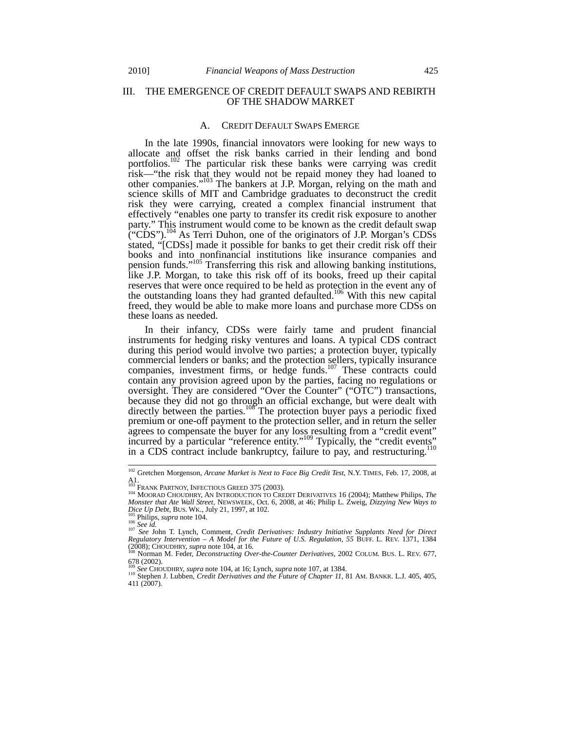## III. THE EMERGENCE OF CREDIT DEFAULT SWAPS AND REBIRTH OF THE SHADOW MARKET

#### A. CREDIT DEFAULT SWAPS EMERGE

In the late 1990s, financial innovators were looking for new ways to allocate and offset the risk banks carried in their lending and bond portfolios.<sup>102</sup> The particular risk these banks were carrying was credit risk—"the risk that they would not be repaid money they had loaned to other companies."103 The bankers at J.P. Morgan, relying on the math and science skills of MIT and Cambridge graduates to deconstruct the credit risk they were carrying, created a complex financial instrument that effectively "enables one party to transfer its credit risk exposure to another party." This instrument would come to be known as the credit default swap  $\text{C}^{\prime\prime}$ CDS").<sup>104</sup> As Terri Duhon, one of the originators of J.P. Morgan's CDSs stated, "[CDSs] made it possible for banks to get their credit risk off their books and into nonfinancial institutions like insurance companies and pension funds."<sup>105</sup> Transferring this risk and allowing banking institutions, like J.P. Morgan, to take this risk off of its books, freed up their capital reserves that were once required to be held as protection in the event any of the outstanding loans they had granted defaulted.<sup>106</sup> With this new capital freed, they would be able to make more loans and purchase more CDSs on these loans as needed.

In their infancy, CDSs were fairly tame and prudent financial instruments for hedging risky ventures and loans. A typical CDS contract during this period would involve two parties; a protection buyer, typically commercial lenders or banks; and the protection sellers, typically insurance commercial chacks of called, and the protection of the contracts could contain any provision agreed upon by the parties, facing no regulations or oversight. They are considered "Over the Counter" ("OTC") transactions, because they did not go through an official exchange, but were dealt with directly between the parties.<sup>108</sup> The protection buyer pays a periodic fixed premium or one-off payment to the protection seller, and in return the seller agrees to compensate the buyer for any loss resulting from a "credit event" incurred by a particular "reference entity."<sup>109</sup> Typically, the "credit events" in a CDS contract include bankruptcy, failure to pay, and restructuring.<sup>110</sup>

<sup>102</sup> Gretchen Morgenson, *Arcane Market is Next to Face Big Credit Test*, N.Y. TIMES, Feb. 17, 2008, at

A1.<br><sup>103</sup> FRANK PARTNOY, INFECTIOUS GREED 375 (2003).<br><sup>104</sup> MOORAD CHOUDHRY, AN INTRODUCTION TO CREDIT DERIVATIVES 16 (2004); Matthew Philips, *The<br>Monster that Ate Wall Street*, NEWSWEEK, Oct. 6, 2008, at 46; Philip L. Zw *Dice Up Debt,* BUS. WK., July 21, 1997, at 102. 105 Philips, *supra* note 104.<br><sup>105</sup> Philips, *supra* note 104.<br><sup>107</sup> *See id.* 107 *See id.* 107 *See Iohn T. Lynch, Comment, Credit Derivatives: Industry Initiative Suppla* 

*Regulatory Intervention – A Model for the Future of U.S. Regulation, 55* BUFF. L. REV. 1371, 1384 (2008); CHOUDHRY, *supra* note 104, at 16. <sup>108</sup> Norman M. Feder, *Deconstructing Over-the-Counter Derivatives,* 2002 COLUM. BUS. L. REV. 677,

<sup>678 (2002).&</sup>lt;br> $109$  *See* CHOUDHRY, *supra* note 104, at 16; Lynch, *supra* note 107, at 1384.

<sup>109</sup> *See* CHOUDHRY, *supra* note 104, at 16; Lynch, *supra* note 107, at 1384. <sup>110</sup> Stephen J. Lubben, *Credit Derivatives and the Future of Chapter 11,* 81 AM. BANKR. L.J. 405, 405, 411 (2007).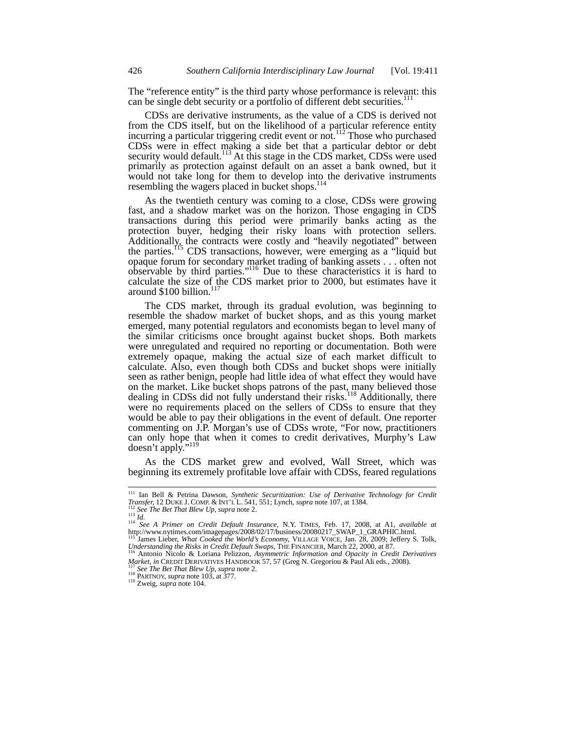The "reference entity" is the third party whose performance is relevant: this can be single debt security or a portfolio of different debt securities.<sup>111</sup>

CDSs are derivative instruments, as the value of a CDS is derived not from the CDS itself, but on the likelihood of a particular reference entity incurring a particular triggering credit event or not.<sup>112</sup> Those who purchased CDSs were in effect making a side bet that a particular debtor or debt security would default.<sup>113</sup> At this stage in the CDS market, CDSs were used primarily as protection against default on an asset a bank owned, but it would not take long for them to develop into the derivative instruments resembling the wagers placed in bucket shops.<sup>11</sup>

As the twentieth century was coming to a close, CDSs were growing fast, and a shadow market was on the horizon. Those engaging in CDS transactions during this period were primarily banks acting as the protection buyer, hedging their risky loans with protection sellers. Additionally, the contracts were costly and "heavily negotiated" between the parties.<sup>115</sup> CDS transactions, however, were emerging as a "liquid but opaque forum for secondary market trading of banking assets . . . often not observable by third parties."116 Due to these characteristics it is hard to calculate the size of the CDS market prior to 2000, but estimates have it around \$100 billion.<sup>117</sup>

The CDS market, through its gradual evolution, was beginning to resemble the shadow market of bucket shops, and as this young market emerged, many potential regulators and economists began to level many of the similar criticisms once brought against bucket shops. Both markets were unregulated and required no reporting or documentation. Both were extremely opaque, making the actual size of each market difficult to calculate. Also, even though both CDSs and bucket shops were initially seen as rather benign, people had little idea of what effect they would have on the market. Like bucket shops patrons of the past, many believed those dealing in CDSs did not fully understand their risks.<sup>118</sup> Additionally, there were no requirements placed on the sellers of CDSs to ensure that they would be able to pay their obligations in the event of default. One reporter commenting on J.P. Morgan's use of CDSs wrote, "For now, practitioners can only hope that when it comes to credit derivatives, Murphy's Law doesn't apply."<sup>119</sup>

As the CDS market grew and evolved, Wall Street, which was beginning its extremely profitable love affair with CDSs, feared regulations

<sup>111</sup> Ian Bell & Petrina Dawson, *Synthetic Securitization: Use of Derivative Technology for Credit*  Transfer, 12 DUKE J. COMP. & INT'L L. 541, 551; Lynch, *supra* note 107, at 1384.<br><sup>112</sup> See The Bet That Blew Up, supra note 2.<br><sup>113</sup> Id.<br><sup>114</sup> See A Primer on Credit Default Insurance, N.Y. TIMES, Feb. 17, 2008, at A1, av

http://www.nytimes.com/imagepages/2008/02/17/business/20080217\_SWAP\_1\_GRAPHIC.html. <sup>115</sup> James Lieber, *What Cooked the World's Economy,* VILLAGE VOICE, Jan. 28, 2009; Jeffery S. Tolk,

*Understanding the Risks in Credit Default Swaps, THE FINANCIER, March 22, 2000, at 87.* 116 Antonio Nicolo & Loriana Pelizzon, *Asymmetric Information and Opacity in Credit Derivatives* 

<sup>&</sup>lt;sup>116</sup> Antonio Nicolo & Loriana Pelizzon, Asymmetric Information and Opacity in Credit Derivatives Market, in CREDIT DERIVATIVES HANDBOOK 57, 57 (Greg N. Gregoriou & Paul Ali eds., 2008).<br><sup>117</sup> See The Bet That Blew Up, su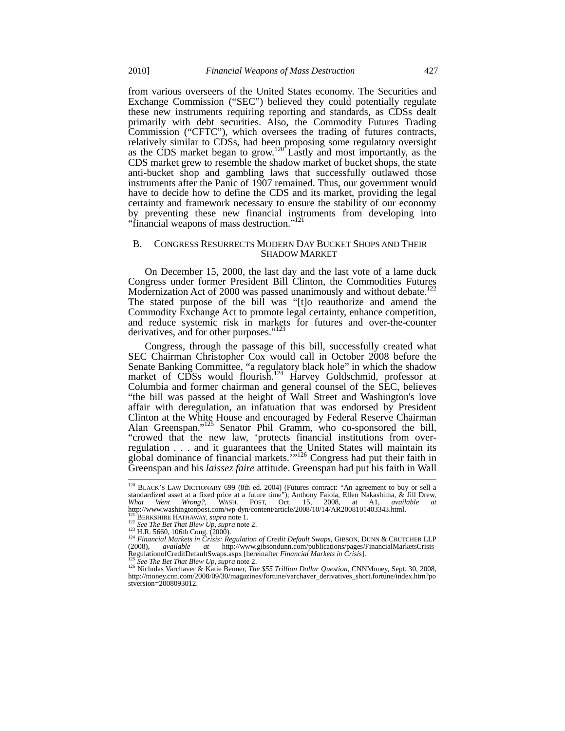from various overseers of the United States economy. The Securities and Exchange Commission ("SEC") believed they could potentially regulate these new instruments requiring reporting and standards, as CDSs dealt primarily with debt securities. Also, the Commodity Futures Trading Commission ("CFTC"), which oversees the trading of futures contracts, relatively similar to CDSs, had been proposing some regulatory oversight as the CDS market began to grow.<sup>120 $^{\circ}$ </sup>Lastly and most importantly, as the CDS market grew to resemble the shadow market of bucket shops, the state anti-bucket shop and gambling laws that successfully outlawed those instruments after the Panic of 1907 remained. Thus, our government would have to decide how to define the CDS and its market, providing the legal certainty and framework necessary to ensure the stability of our economy by preventing these new financial instruments from developing into "financial weapons of mass destruction."<sup>121</sup>

## B. CONGRESS RESURRECTS MODERN DAY BUCKET SHOPS AND THEIR SHADOW MARKET

On December 15, 2000, the last day and the last vote of a lame duck Congress under former President Bill Clinton, the Commodities Futures Modernization Act of 2000 was passed unanimously and without debate.<sup>122</sup> The stated purpose of the bill was "[t]o reauthorize and amend the Commodity Exchange Act to promote legal certainty, enhance competition, and reduce systemic risk in markets for futures and over-the-counter derivatives, and for other purposes."

Congress, through the passage of this bill, successfully created what SEC Chairman Christopher Cox would call in October 2008 before the Senate Banking Committee, "a regulatory black hole" in which the shadow market of CDSs would flourish.<sup>124</sup> Harvey Goldschmid, professor at Columbia and former chairman and general counsel of the SEC, believes "the bill was passed at the height of Wall Street and Washington's love affair with deregulation, an infatuation that was endorsed by President Clinton at the White House and encouraged by Federal Reserve Chairman Alan Greenspan."<sup>125</sup> Senator Phil Gramm, who co-sponsored the bill, "crowed that the new law, 'protects financial institutions from overregulation . . . and it guarantees that the United States will maintain its global dominance of financial markets."<sup>126</sup> Congress had put their faith in Greenspan and his *laissez faire* attitude. Greenspan had put his faith in Wall

 $120$  BLACK'S LAW DICTIONARY 699 (8th ed. 2004) (Futures contract: "An agreement to buy or sell a standardized asset at a fixed price at a future time"); Anthony Faiola, Ellen Nakashima, & Jill Drew, *What Went Wrong?,* WASH. POST, Oct. 15, 2008, at A1, *available at*  http://www.washingtonpost.com/wp-dyn/content/article/2008/10/14/AR2008101403343.html.<br> $^{121}$ BERKSHIRE HATHAWAY, *supra* note 1.

<sup>&</sup>lt;sup>122</sup> See The Bet That Blew Up, supra note 2.<br><sup>122</sup> See The Bet That Blew Up, supra note 2.<br><sup>123</sup> H.R. 5660, 106th Cong. (2000).<br><sup>124</sup> Financial Markets in Crisis: Regulation of Credit Default Swaps, GIBSON, DUNN & CRUTCH (2008), *available at http://www.gibsondunn.com/publications/pages/FinancialMarketsCrisis-*<br>RegulationofCreditDefaultSwaps.aspx [hereinafter *Financial Markets in Crisis*].

<sup>&</sup>lt;sup>125</sup> See The Bet That Blew Up, supra note 2.<br><sup>126</sup> Nicholas Varchaver & Katie Benner, *The \$55 Trillion Dollar Question*, CNNMoney, Sept. 30, 2008, http://money.cnn.com/2008/09/30/magazines/fortune/varchaver\_derivatives\_short.fortune/index.htm?po stversion=2008093012.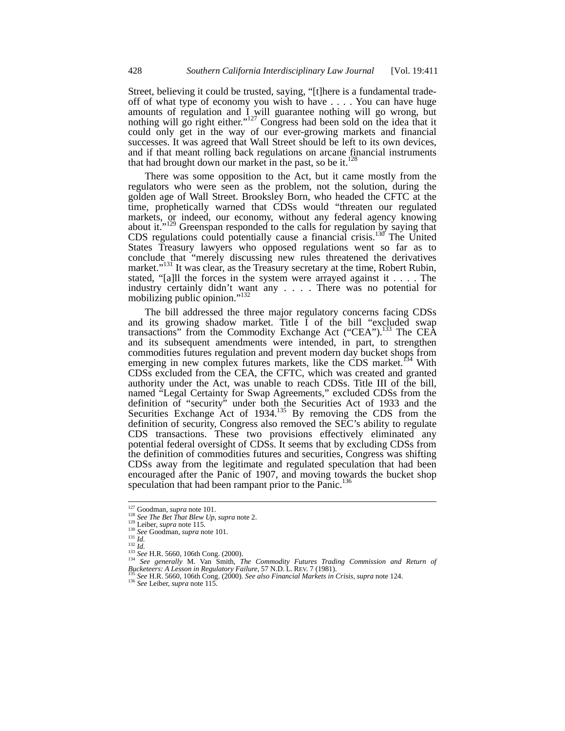Street, believing it could be trusted, saying, "[t]here is a fundamental tradeoff of what type of economy you wish to have . . . . You can have huge amounts of regulation and I will guarantee nothing will go wrong, but nothing will go right either."<sup>127</sup> Congress had been sold on the idea that it could only get in the way of our ever-growing markets and financial successes. It was agreed that Wall Street should be left to its own devices, and if that meant rolling back regulations on arcane financial instruments that had brought down our market in the past, so be it.<sup>128</sup>

There was some opposition to the Act, but it came mostly from the regulators who were seen as the problem, not the solution, during the golden age of Wall Street. Brooksley Born, who headed the CFTC at the time, prophetically warned that CDSs would "threaten our regulated markets, or indeed, our economy, without any federal agency knowing about it."<sup>129</sup> Greenspan responded to the calls for regulation by saying that CDS regulations could potentially cause a financial crisis.<sup>130</sup> The United States Treasury lawyers who opposed regulations went so far as to conclude that "merely discussing new rules threatened the derivatives market."<sup>131</sup> It was clear, as the Treasury secretary at the time, Robert Rubin, stated, "[a]ll the forces in the system were arrayed against it . . . . The industry certainly didn't want any . . . . There was no potential for mobilizing public opinion."<sup>132</sup>

The bill addressed the three major regulatory concerns facing CDSs and its growing shadow market. Title I of the bill "excluded swap transactions" from the Commodity Exchange Act ("CEA").<sup>133</sup> The CEA and its subsequent amendments were intended, in part, to strengthen commodities futures regulation and prevent modern day bucket shops from emerging in new complex futures markets, like the CDS market.<sup>134</sup> With CDSs excluded from the CEA, the CFTC, which was created and granted authority under the Act, was unable to reach CDSs. Title III of the bill, named "Legal Certainty for Swap Agreements," excluded CDSs from the definition of "security" under both the Securities Act of 1933 and the Securities Exchange Act of  $1934$ <sup>135</sup> By removing the CDS from the definition of security, Congress also removed the SEC's ability to regulate CDS transactions. These two provisions effectively eliminated any potential federal oversight of CDSs. It seems that by excluding CDSs from the definition of commodities futures and securities, Congress was shifting CDSs away from the legitimate and regulated speculation that had been encouraged after the Panic of 1907, and moving towards the bucket shop speculation that had been rampant prior to the Panic.<sup>136</sup>

<sup>&</sup>lt;sup>127</sup> Goodman, *supra* note 101.<br><sup>128</sup> See The Bet That Blew Up, *supra* note 2.<br><sup>129</sup> Leiber, *supra* note 115.

<sup>&</sup>lt;sup>127</sup> Goodman, *supra* note 101.<br><sup>128</sup> See The Bet That Blew Up, supra note 2.<br><sup>130</sup> Leiber, *supra* note 115.<br><sup>130</sup> Leiber, *supra* note 101.<br><sup>131</sup> *Id.*<br><sup>134</sup> See H.R. 5660, 106th Cong. (2000).<br><sup>134</sup> See generally M. Va Bucketeers: A Lesson in Regulatory Failure, 57 N.D. L. REV. 7 (1981).<br><sup>135</sup> See H.R. 5660, 106th Cong. (2000). See also Financial Markets in Crisis, supra note 124.<br><sup>136</sup> See Leiber, supra note 115.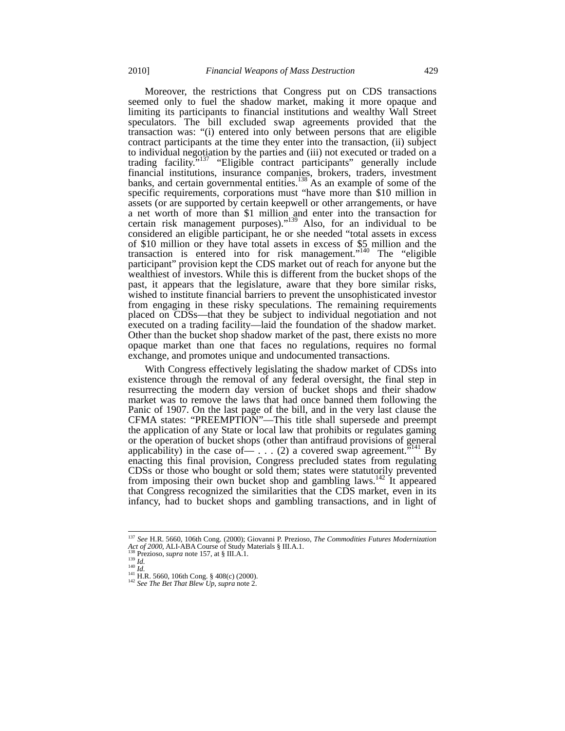Moreover, the restrictions that Congress put on CDS transactions seemed only to fuel the shadow market, making it more opaque and limiting its participants to financial institutions and wealthy Wall Street speculators. The bill excluded swap agreements provided that the transaction was: "(i) entered into only between persons that are eligible contract participants at the time they enter into the transaction, (ii) subject to individual negotiation by the parties and (iii) not executed or traded on a trading facility."<sup>137</sup> "Eligible contract participants" generally include financial institutions, insurance companies, brokers, traders, investment banks, and certain governmental entities.<sup>138</sup> As an example of some of the specific requirements, corporations must "have more than \$10 million in assets (or are supported by certain keepwell or other arrangements, or have a net worth of more than \$1 million and enter into the transaction for certain risk management purposes)."139 Also, for an individual to be considered an eligible participant, he or she needed "total assets in excess of \$10 million or they have total assets in excess of \$5 million and the transaction is entered into for risk management."<sup>140</sup> The "eligible" participant" provision kept the CDS market out of reach for anyone but the wealthiest of investors. While this is different from the bucket shops of the past, it appears that the legislature, aware that they bore similar risks, wished to institute financial barriers to prevent the unsophisticated investor from engaging in these risky speculations. The remaining requirements placed on CDSs—that they be subject to individual negotiation and not executed on a trading facility—laid the foundation of the shadow market. Other than the bucket shop shadow market of the past, there exists no more opaque market than one that faces no regulations, requires no formal exchange, and promotes unique and undocumented transactions.

With Congress effectively legislating the shadow market of CDSs into existence through the removal of any federal oversight, the final step in resurrecting the modern day version of bucket shops and their shadow market was to remove the laws that had once banned them following the Panic of 1907. On the last page of the bill, and in the very last clause the CFMA states: "PREEMPTION"—This title shall supersede and preempt the application of any State or local law that prohibits or regulates gaming or the operation of bucket shops (other than antifraud provisions of general applicability) in the case of — . . . (2) a covered swap agreement.<sup> $5141$ </sup> By enacting this final provision, Congress precluded states from regulating CDSs or those who bought or sold them; states were statutorily prevented from imposing their own bucket shop and gambling laws.<sup>142</sup> It appeared that Congress recognized the similarities that the CDS market, even in its infancy, had to bucket shops and gambling transactions, and in light of

<sup>137</sup> *See* H.R. 5660, 106th Cong. (2000); Giovanni P. Prezioso, *The Commodities Futures Modernization* 

Act of 2000, ALI-ABA Course of Study Materials § III.A.1.<br><sup>138</sup> Prezioso, *supra* note 157, at § III.A.1.<br><sup>140</sup> Id.<br><sup>141</sup> H.R. 5660, 106th Cong. § 408(c) (2000).<br><sup>142</sup> See The Bet That Blew Up, supra note 2.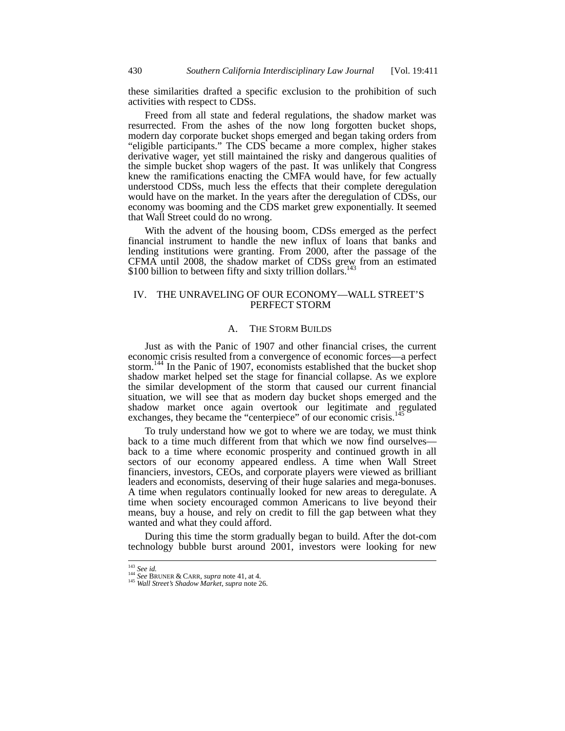these similarities drafted a specific exclusion to the prohibition of such activities with respect to CDSs.

Freed from all state and federal regulations, the shadow market was resurrected. From the ashes of the now long forgotten bucket shops, modern day corporate bucket shops emerged and began taking orders from "eligible participants." The CDS became a more complex, higher stakes derivative wager, yet still maintained the risky and dangerous qualities of the simple bucket shop wagers of the past. It was unlikely that Congress knew the ramifications enacting the CMFA would have, for few actually understood CDSs, much less the effects that their complete deregulation would have on the market. In the years after the deregulation of CDSs, our economy was booming and the CDS market grew exponentially. It seemed that Wall Street could do no wrong.

With the advent of the housing boom, CDSs emerged as the perfect financial instrument to handle the new influx of loans that banks and lending institutions were granting. From 2000, after the passage of the CFMA until 2008, the shadow market of CDSs grew from an estimated \$100 billion to between fifty and sixty trillion dollars.<sup>143</sup>

## IV. THE UNRAVELING OF OUR ECONOMY—WALL STREET'S PERFECT STORM

## A. THE STORM BUILDS

Just as with the Panic of 1907 and other financial crises, the current economic crisis resulted from a convergence of economic forces—a perfect storm.<sup>144</sup> In the Panic of 1907, economists established that the bucket shop shadow market helped set the stage for financial collapse. As we explore the similar development of the storm that caused our current financial situation, we will see that as modern day bucket shops emerged and the shadow market once again overtook our legitimate and regulated exchanges, they became the "centerpiece" of our economic crisis.<sup>14</sup>

To truly understand how we got to where we are today, we must think back to a time much different from that which we now find ourselves back to a time where economic prosperity and continued growth in all sectors of our economy appeared endless. A time when Wall Street financiers, investors, CEOs, and corporate players were viewed as brilliant leaders and economists, deserving of their huge salaries and mega-bonuses. A time when regulators continually looked for new areas to deregulate. A time when society encouraged common Americans to live beyond their means, buy a house, and rely on credit to fill the gap between what they wanted and what they could afford.

During this time the storm gradually began to build. After the dot-com technology bubble burst around 2001, investors were looking for new

 $143$  See id.

<sup>143</sup> *See id.* <sup>144</sup> *See* BRUNER & CARR, *supra* note 41, at 4. <sup>145</sup> *Wall Street's Shadow Market*, *supra* note 26.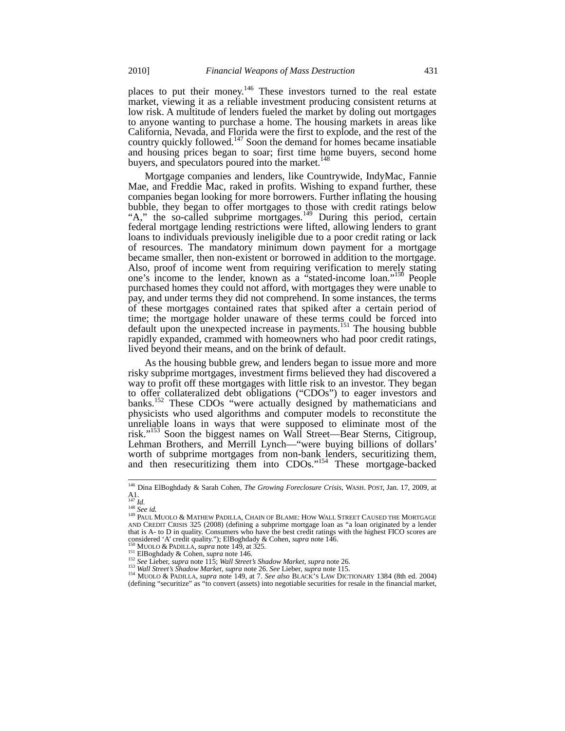places to put their money.<sup>146</sup> These investors turned to the real estate market, viewing it as a reliable investment producing consistent returns at low risk. A multitude of lenders fueled the market by doling out mortgages to anyone wanting to purchase a home. The housing markets in areas like California, Nevada, and Florida were the first to explode, and the rest of the country quickly followed.<sup>147</sup> Soon the demand for homes became insatiable and housing prices began to soar; first time home buyers, second home buyers, and speculators poured into the market. $148$ 

Mortgage companies and lenders, like Countrywide, IndyMac, Fannie Mae, and Freddie Mac, raked in profits. Wishing to expand further, these companies began looking for more borrowers. Further inflating the housing bubble, they began to offer mortgages to those with credit ratings below "A," the so-called subprime mortgages.<sup>149</sup> During this period, certain federal mortgage lending restrictions were lifted, allowing lenders to grant loans to individuals previously ineligible due to a poor credit rating or lack of resources. The mandatory minimum down payment for a mortgage became smaller, then non-existent or borrowed in addition to the mortgage. Also, proof of income went from requiring verification to merely stating one's income to the lender, known as a "stated-income loan."<sup>150</sup> People purchased homes they could not afford, with mortgages they were unable to pay, and under terms they did not comprehend. In some instances, the terms of these mortgages contained rates that spiked after a certain period of time; the mortgage holder unaware of these terms could be forced into default upon the unexpected increase in payments.<sup>151</sup> The housing bubble rapidly expanded, crammed with homeowners who had poor credit ratings, lived beyond their means, and on the brink of default.

As the housing bubble grew, and lenders began to issue more and more risky subprime mortgages, investment firms believed they had discovered a way to profit off these mortgages with little risk to an investor. They began to offer collateralized debt obligations ("CDOs") to eager investors and banks.<sup>152</sup> These CDOs "were actually designed by mathematicians and physicists who used algorithms and computer models to reconstitute the unreliable loans in ways that were supposed to eliminate most of the risk."<sup>153</sup> Soon the biggest names on Wall Street—Bear Sterns, Citigroup, Lehman Brothers, and Merrill Lynch—"were buying billions of dollars' worth of subprime mortgages from non-bank lenders, securitizing them, and then resecuritizing them into CDOs."154 These mortgage-backed

<sup>146</sup> Dina ElBoghdady & Sarah Cohen, *The Growing Foreclosure Crisis*, WASH. POST, Jan. 17, 2009, at A1.<br> $^{147}_{148}$  *Id.*<br> $^{148}_{148}$  *See id.* 

<sup>147</sup> *Id.* <sup>148</sup> *See id.* <sup>149</sup> PAUL MUOLO & MATHEW PADILLA, CHAIN OF BLAME: HOW WALL STREET CAUSED THE MORTGAGE AND CREDIT CRISIS 325 (2008) (defining a subprime mortgage loan as "a loan originated by a lender that is A- to D in quality. Consumers who have the best credit ratings with the highest FICO scores are considered 'A' credit quality."); ElBoghdady & Cohen, *supra* note 146. Considered A creati quality. *J*, Enorginally & Concit,  $\sin\mu x \cos \lambda \cos \lambda x$ .<br>
<sup>150</sup> MUOLO & PADILLA, *supra* note 146.<br>
<sup>151</sup> ElBoghdady & Cohen, *supra* note 146.<br>
<sup>152</sup> See Lieber, *supra* note 115; *Wall Street's Shadow M* 

<sup>(</sup>defining "securitize" as "to convert (assets) into negotiable securities for resale in the financial market,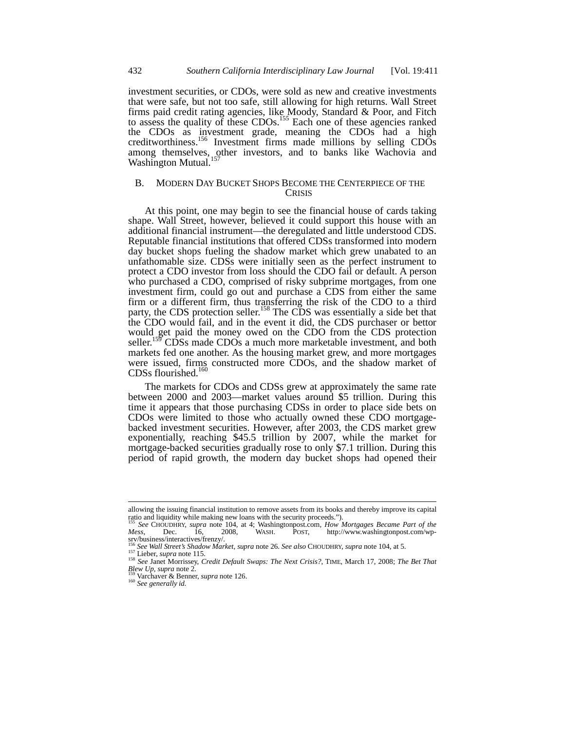investment securities, or CDOs, were sold as new and creative investments that were safe, but not too safe, still allowing for high returns. Wall Street firms paid credit rating agencies, like Moody, Standard & Poor, and Fitch to assess the quality of these  $CDOs$ .<sup>155</sup> Each one of these agencies ranked the CDOs as investment grade, meaning the CDOs had a high creditworthiness.<sup>156</sup> Investment firms made millions by selling CDOs among themselves, other investors, and to banks like Wachovia and Washington Mutual.<sup>157</sup>

## B. MODERN DAY BUCKET SHOPS BECOME THE CENTERPIECE OF THE **CRISIS**

At this point, one may begin to see the financial house of cards taking shape. Wall Street, however, believed it could support this house with an additional financial instrument—the deregulated and little understood CDS. Reputable financial institutions that offered CDSs transformed into modern day bucket shops fueling the shadow market which grew unabated to an unfathomable size. CDSs were initially seen as the perfect instrument to protect a CDO investor from loss should the CDO fail or default. A person who purchased a CDO, comprised of risky subprime mortgages, from one investment firm, could go out and purchase a CDS from either the same firm or a different firm, thus transferring the risk of the CDO to a third party, the CDS protection seller.<sup>158</sup> The CDS was essentially a side bet that the CDO would fail, and in the event it did, the CDS purchaser or bettor would get paid the money owed on the CDO from the CDS protection seller.<sup>159</sup> CDSs made CDOs a much more marketable investment, and both markets fed one another. As the housing market grew, and more mortgages were issued, firms constructed more CDOs, and the shadow market of CDSs flourished.<sup>160</sup>

The markets for CDOs and CDSs grew at approximately the same rate between 2000 and 2003—market values around \$5 trillion. During this time it appears that those purchasing CDSs in order to place side bets on CDOs were limited to those who actually owned these CDO mortgagebacked investment securities. However, after 2003, the CDS market grew exponentially, reaching \$45.5 trillion by 2007, while the market for mortgage-backed securities gradually rose to only \$7.1 trillion. During this period of rapid growth, the modern day bucket shops had opened their

allowing the issuing financial institution to remove assets from its books and thereby improve its capital ratio and liquidity while making new loans with the security proceeds."). <sup>155</sup> *See* CHOUDHRY, *supra* note 104, at 4; Washingtonpost.com, *How Mortgages Became Part of the*

*Mess*, Dec. 16, 2008, WASH. POST, http://www.washingtonpost.com/wpsrv/business/interactives/frenzy/.<br>Srv/business/interactives/frenzy/.<br><sup>156</sup> See Wall Street's Shadow Market, supra note 26. See also CHOUDHRY, supra note 104, at 5.

<sup>&</sup>lt;sup>157</sup> Lieber, *supra* note 115.<br><sup>157</sup> Lieber, *supra* note 115.<br><sup>158</sup> See Janet Morrissey, *Credit Default Swaps: The Next Crisis?*, TIME, March 17, 2008; *The Bet That*<br>*Blew Up*, *supra* note 2.

<sup>&</sup>lt;sup>159</sup> Varchaver & Benner, *supra* note 126.<br><sup>160</sup> *See generally id.*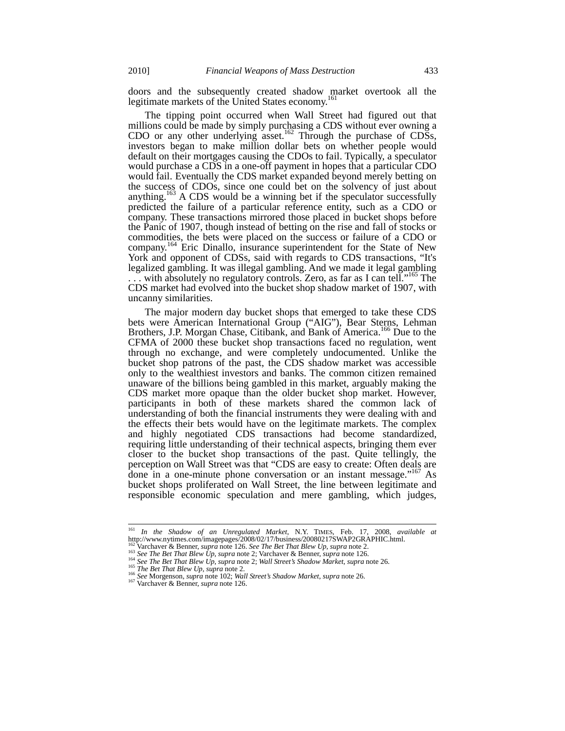doors and the subsequently created shadow market overtook all the legitimate markets of the United States economy.<sup>161</sup>

The tipping point occurred when Wall Street had figured out that millions could be made by simply purchasing a CDS without ever owning a CDO or any other underlying asset.<sup>162</sup> Through the purchase of CDSs, investors began to make million dollar bets on whether people would default on their mortgages causing the CDOs to fail. Typically, a speculator would purchase a CDS in a one-off payment in hopes that a particular CDO would fail. Eventually the CDS market expanded beyond merely betting on the success of CDOs, since one could bet on the solvency of just about anything.<sup>163</sup> A CDS would be a winning bet if the speculator successfully predicted the failure of a particular reference entity, such as a CDO or company. These transactions mirrored those placed in bucket shops before the Panic of 1907, though instead of betting on the rise and fall of stocks or commodities, the bets were placed on the success or failure of a CDO or company.<sup>164</sup> Eric Dinallo, insurance superintendent for the State of New York and opponent of CDSs, said with regards to CDS transactions, "It's legalized gambling. It was illegal gambling. And we made it legal gambling ... with absolutely no regulatory controls. Zero, as far as I can tell.<sup>"165</sup> The CDS market had evolved into the bucket shop shadow market of 1907, with uncanny similarities.

The major modern day bucket shops that emerged to take these CDS bets were American International Group ("AIG"), Bear Sterns, Lehman Brothers, J.P. Morgan Chase, Citibank, and Bank of America.<sup>166</sup> Due to the CFMA of 2000 these bucket shop transactions faced no regulation, went through no exchange, and were completely undocumented. Unlike the bucket shop patrons of the past, the CDS shadow market was accessible only to the wealthiest investors and banks. The common citizen remained unaware of the billions being gambled in this market, arguably making the CDS market more opaque than the older bucket shop market. However, participants in both of these markets shared the common lack of understanding of both the financial instruments they were dealing with and the effects their bets would have on the legitimate markets. The complex and highly negotiated CDS transactions had become standardized, requiring little understanding of their technical aspects, bringing them ever closer to the bucket shop transactions of the past. Quite tellingly, the perception on Wall Street was that "CDS are easy to create: Often deals are done in a one-minute phone conversation or an instant message.<sup> $167$ </sup> As bucket shops proliferated on Wall Street, the line between legitimate and responsible economic speculation and mere gambling, which judges,

<sup>161</sup> <sup>161</sup> *In the Shadow of an Unregulated Market*, N.Y. TIMES, Feb. 17, 2008, *available at In the shadow of an Unregulated Market*, N.Y. 1IMES, Feb. 17, 2008, *ava*<br>http://www.nytimes.com/imagepages/2008/02/17/business/20080217SWAP2GRAPHIC.html.<br><sup>162</sup> See The Bet That Blew Up, supra note 2: Varchaver & Benner,

<sup>&</sup>lt;sup>164</sup> See The Bet That Blew Up, supra note 2; Wall Street's Shadow Market, supra note 26.<br><sup>165</sup> The Bet That Blew Up, supra note 2.<br><sup>166</sup> See Morgenson, *supra* note 102; Wall Street's Shadow Market, *supra* note 26.<br><sup>167</sup>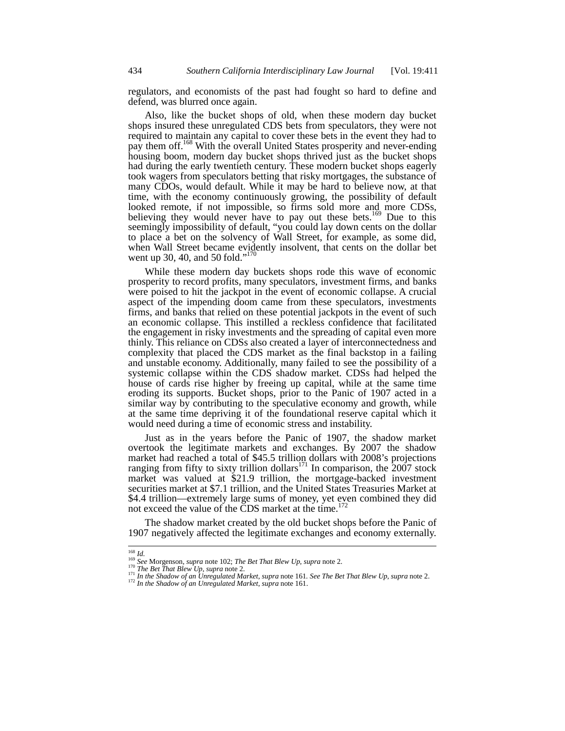regulators, and economists of the past had fought so hard to define and defend, was blurred once again.

Also, like the bucket shops of old, when these modern day bucket shops insured these unregulated CDS bets from speculators, they were not required to maintain any capital to cover these bets in the event they had to pay them off.<sup>168</sup> With the overall United States prosperity and never-ending housing boom, modern day bucket shops thrived just as the bucket shops had during the early twentieth century. These modern bucket shops eagerly took wagers from speculators betting that risky mortgages, the substance of many CDOs, would default. While it may be hard to believe now, at that time, with the economy continuously growing, the possibility of default looked remote, if not impossible, so firms sold more and more CDSs, believing they would never have to pay out these bets.<sup>169</sup> Due to this seemingly impossibility of default, "you could lay down cents on the dollar to place a bet on the solvency of Wall Street, for example, as some did, when Wall Street became evidently insolvent, that cents on the dollar bet went up 30, 40, and 50 fold."<sup>170</sup>

While these modern day buckets shops rode this wave of economic prosperity to record profits, many speculators, investment firms, and banks were poised to hit the jackpot in the event of economic collapse. A crucial aspect of the impending doom came from these speculators, investments firms, and banks that relied on these potential jackpots in the event of such an economic collapse. This instilled a reckless confidence that facilitated the engagement in risky investments and the spreading of capital even more thinly. This reliance on CDSs also created a layer of interconnectedness and complexity that placed the CDS market as the final backstop in a failing and unstable economy. Additionally, many failed to see the possibility of a systemic collapse within the CDS shadow market. CDSs had helped the house of cards rise higher by freeing up capital, while at the same time eroding its supports. Bucket shops, prior to the Panic of 1907 acted in a similar way by contributing to the speculative economy and growth, while at the same time depriving it of the foundational reserve capital which it would need during a time of economic stress and instability.

Just as in the years before the Panic of 1907, the shadow market overtook the legitimate markets and exchanges. By 2007 the shadow market had reached a total of \$45.5 trillion dollars with 2008's projections ranging from fifty to sixty trillion dollars<sup>171</sup> In comparison, the  $2007$  stock market was valued at \$21.9 trillion, the mortgage-backed investment securities market at \$7.1 trillion, and the United States Treasuries Market at \$4.4 trillion—extremely large sums of money, yet even combined they did not exceed the value of the CDS market at the time.<sup>172</sup>

The shadow market created by the old bucket shops before the Panic of 1907 negatively affected the legitimate exchanges and economy externally.

 $^{168}$   $\overline{ld}.$ 

<sup>&</sup>lt;sup>169</sup> See Morgenson, *supra* note 102; *The Bet That Blew Up*, *supra* note 2.<br><sup>170</sup> *The Bet That Blew Up*, *supra* note 2.<br><sup>171</sup> *In the Shadow of an Unregulated Market, supra* note 161. *See The Bet That Blew Up*, *sup*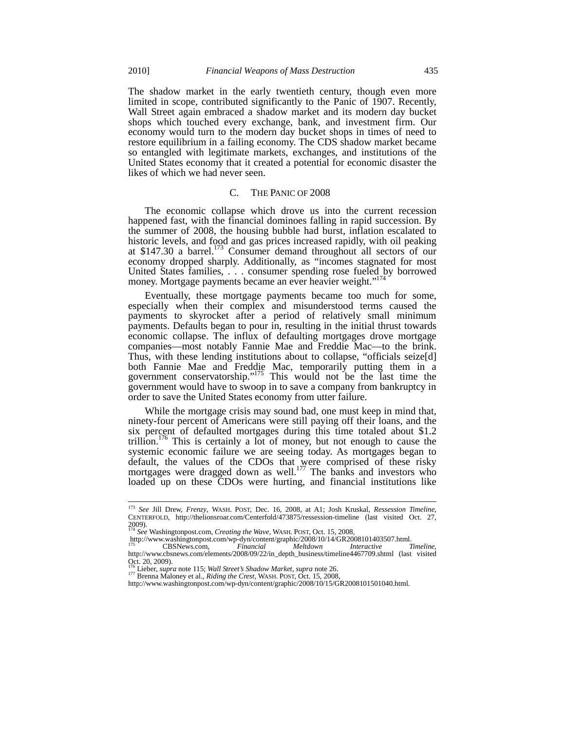The shadow market in the early twentieth century, though even more limited in scope, contributed significantly to the Panic of 1907. Recently, Wall Street again embraced a shadow market and its modern day bucket shops which touched every exchange, bank, and investment firm. Our economy would turn to the modern day bucket shops in times of need to restore equilibrium in a failing economy. The CDS shadow market became so entangled with legitimate markets, exchanges, and institutions of the United States economy that it created a potential for economic disaster the likes of which we had never seen.

## C. THE PANIC OF 2008

The economic collapse which drove us into the current recession happened fast, with the financial dominoes falling in rapid succession. By the summer of 2008, the housing bubble had burst, inflation escalated to historic levels, and food and gas prices increased rapidly, with oil peaking at \$147.30 a barrel.<sup>173</sup> Consumer demand throughout all sectors of our economy dropped sharply. Additionally, as "incomes stagnated for most United States families, . . . consumer spending rose fueled by borrowed money. Mortgage payments became an ever heavier weight."<sup>174</sup>

Eventually, these mortgage payments became too much for some, especially when their complex and misunderstood terms caused the payments to skyrocket after a period of relatively small minimum payments. Defaults began to pour in, resulting in the initial thrust towards economic collapse. The influx of defaulting mortgages drove mortgage companies—most notably Fannie Mae and Freddie Mac—to the brink. Thus, with these lending institutions about to collapse, "officials seize[d] both Fannie Mae and Freddie Mac, temporarily putting them in a government conservatorship."<sup>175</sup> This would not be the last time the government would have to swoop in to save a company from bankruptcy in order to save the United States economy from utter failure.

While the mortgage crisis may sound bad, one must keep in mind that, ninety-four percent of Americans were still paying off their loans, and the six percent of defaulted mortgages during this time totaled about \$1.2 trillion.<sup>176</sup> This is certainly a lot of money, but not enough to cause the systemic economic failure we are seeing today. As mortgages began to default, the values of the CDOs that were comprised of these risky mortgages were dragged down as well.<sup>177</sup> The banks and investors who loaded up on these CDOs were hurting, and financial institutions like

<sup>173</sup> *See* Jill Drew, *Frenzy*, WASH. POST, Dec. 16, 2008, at A1; Josh Kruskal, *Ressession Timeline*, CENTERFOLD, http://thelionsroar.com/Centerfold/473875/ressession-timeline (last visited Oct. 27, 2009). <sup>174</sup> *See* Washingtonpost.com, *Creating the Wave*, WASH. POST, Oct. 15, 2008,

http://www.washingtonpost.com/wp-dyn/content/graphic/2008/10/14/GR2008101403507.html. <sup>175</sup> CBSNews.com, *Financial Meltdown Interactive Timeline*,

http://www.cbsnews.com/elements/2008/09/22/in\_depth\_business/timeline4467709.shtml (last visited Oct. 20, 2009).<br> $\frac{176}{15}$  Lieber, *supra* note 115; *Wall Street's Shadow Market, supra* note 26.

<sup>176</sup> Lieber, *supra* note 115; *Wall Street's Shadow Market*, *supra* note 26. <sup>177</sup> Brenna Maloney et al., *Riding the Crest*, WASH. POST, Oct. 15, 2008,

http://www.washingtonpost.com/wp-dyn/content/graphic/2008/10/15/GR2008101501040.html.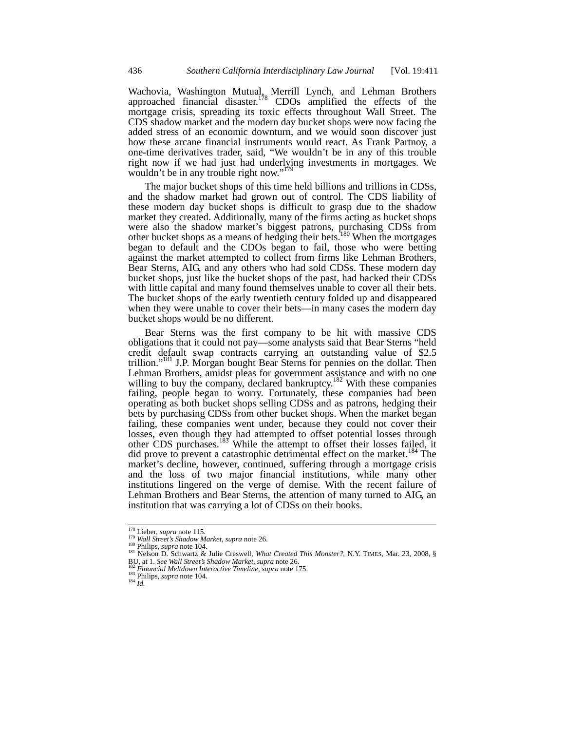Wachovia, Washington Mutual, Merrill Lynch, and Lehman Brothers approached financial disaster.<sup>178</sup> CDOs amplified the effects of the mortgage crisis, spreading its toxic effects throughout Wall Street. The CDS shadow market and the modern day bucket shops were now facing the added stress of an economic downturn, and we would soon discover just how these arcane financial instruments would react. As Frank Partnoy, a one-time derivatives trader, said, "We wouldn't be in any of this trouble right now if we had just had underlying investments in mortgages. We wouldn't be in any trouble right now."<sup>17</sup>

The major bucket shops of this time held billions and trillions in CDSs, and the shadow market had grown out of control. The CDS liability of these modern day bucket shops is difficult to grasp due to the shadow market they created. Additionally, many of the firms acting as bucket shops were also the shadow market's biggest patrons, purchasing CDSs from other bucket shops as a means of hedging their bets.<sup>180</sup> When the mortgages began to default and the CDOs began to fail, those who were betting against the market attempted to collect from firms like Lehman Brothers, Bear Sterns, AIG, and any others who had sold CDSs. These modern day bucket shops, just like the bucket shops of the past, had backed their CDSs with little capital and many found themselves unable to cover all their bets. The bucket shops of the early twentieth century folded up and disappeared when they were unable to cover their bets—in many cases the modern day bucket shops would be no different.

Bear Sterns was the first company to be hit with massive CDS obligations that it could not pay—some analysts said that Bear Sterns "held credit default swap contracts carrying an outstanding value of \$2.5 trillion."181 J.P. Morgan bought Bear Sterns for pennies on the dollar. Then Lehman Brothers, amidst pleas for government assistance and with no one willing to buy the company, declared bankruptcy.<sup>182</sup> With these companies failing, people began to worry. Fortunately, these companies had been operating as both bucket shops selling CDSs and as patrons, hedging their bets by purchasing CDSs from other bucket shops. When the market began failing, these companies went under, because they could not cover their losses, even though they had attempted to offset potential losses through other CDS purchases.<sup>183</sup> While the attempt to offset their losses failed, it did prove to prevent a catastrophic detrimental effect on the market.<sup>184</sup> The market's decline, however, continued, suffering through a mortgage crisis and the loss of two major financial institutions, while many other institutions lingered on the verge of demise. With the recent failure of Lehman Brothers and Bear Sterns, the attention of many turned to AIG, an institution that was carrying a lot of CDSs on their books.

<sup>&</sup>lt;sup>178</sup> Lieber, *supra* note 115.

<sup>&</sup>lt;sup>179</sup> Wall Street's Shadow Market, supra note 26.<br><sup>180</sup> Philips, *supra* note 104.<br><sup>180</sup> Philips, *supra* note 104.<br><sup>181</sup> Nelson D. Schwartz & Julie Creswell, *What Created This Monster?*, N.Y. TIMES, Mar. 23, 2008, § BU, at 1. *See Wall Street's Shadow Market*, *supra* note 26. <sup>182</sup> *Financial Meltdown Interactive Timeline*, *supra* note 175. <sup>183</sup> Philips, *supra* note 104. <sup>184</sup> *Id.*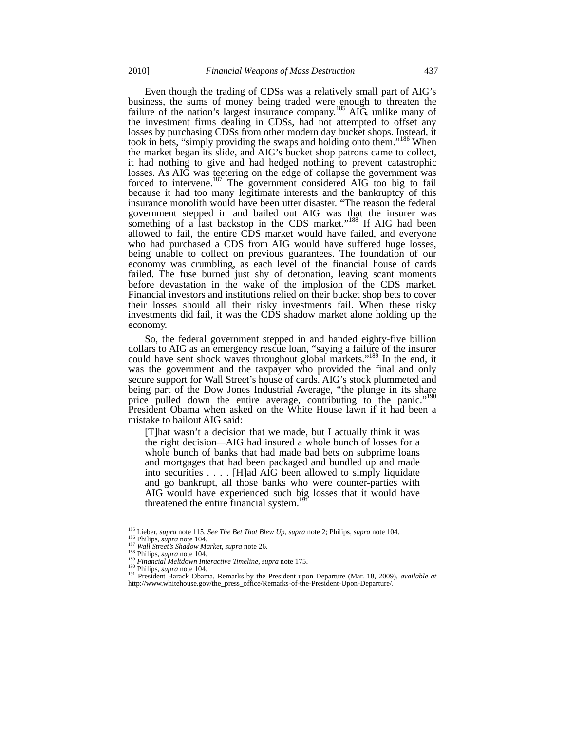Even though the trading of CDSs was a relatively small part of AIG's business, the sums of money being traded were enough to threaten the failure of the nation's largest insurance company.<sup>185</sup> AIG, unlike many of the investment firms dealing in CDSs, had not attempted to offset any losses by purchasing CDSs from other modern day bucket shops. Instead, it took in bets, "simply providing the swaps and holding onto them."<sup>186</sup> When the market began its slide, and AIG's bucket shop patrons came to collect, it had nothing to give and had hedged nothing to prevent catastrophic losses. As AIG was teetering on the edge of collapse the government was forced to intervene.<sup>187</sup> The government considered AIG too big to fail because it had too many legitimate interests and the bankruptcy of this insurance monolith would have been utter disaster. "The reason the federal government stepped in and bailed out AIG was that the insurer was something of a last backstop in the CDS market."<sup>188</sup> If AIG had been allowed to fail, the entire CDS market would have failed, and everyone who had purchased a CDS from AIG would have suffered huge losses, being unable to collect on previous guarantees. The foundation of our economy was crumbling, as each level of the financial house of cards failed. The fuse burned just shy of detonation, leaving scant moments before devastation in the wake of the implosion of the CDS market. Financial investors and institutions relied on their bucket shop bets to cover their losses should all their risky investments fail. When these risky investments did fail, it was the CDS shadow market alone holding up the economy.

So, the federal government stepped in and handed eighty-five billion dollars to AIG as an emergency rescue loan, "saying a failure of the insurer could have sent shock waves throughout global markets."<sup>189</sup> In the end, it was the government and the taxpayer who provided the final and only secure support for Wall Street's house of cards. AIG's stock plummeted and being part of the Dow Jones Industrial Average, "the plunge in its share price pulled down the entire average, contributing to the panic."<sup>1</sup> President Obama when asked on the White House lawn if it had been a mistake to bailout AIG said:

[T]hat wasn't a decision that we made, but I actually think it was the right decision—AIG had insured a whole bunch of losses for a whole bunch of banks that had made bad bets on subprime loans and mortgages that had been packaged and bundled up and made into securities . . . . [H]ad AIG been allowed to simply liquidate and go bankrupt, all those banks who were counter-parties with AIG would have experienced such big losses that it would have threatened the entire financial system.<sup>1</sup>

<sup>&</sup>lt;sup>185</sup> Lieber, supra note 115. See The Bet That Blew Up, supra note 2; Philips, supra note 104.

The Philips, *supra* note 104.<br>
<sup>186</sup> Philips, *supra* note 104.<br>
<sup>187</sup> Wall Street's Shadow Market, supra note 26.<br>
<sup>189</sup> Financial Meltdown Interactive Timeline, supra note 175.<br>
<sup>190</sup> Philips, *supra* note 104.<br>
<sup>191</sup> P http://www.whitehouse.gov/the\_press\_office/Remarks-of-the-President-Upon-Departure/.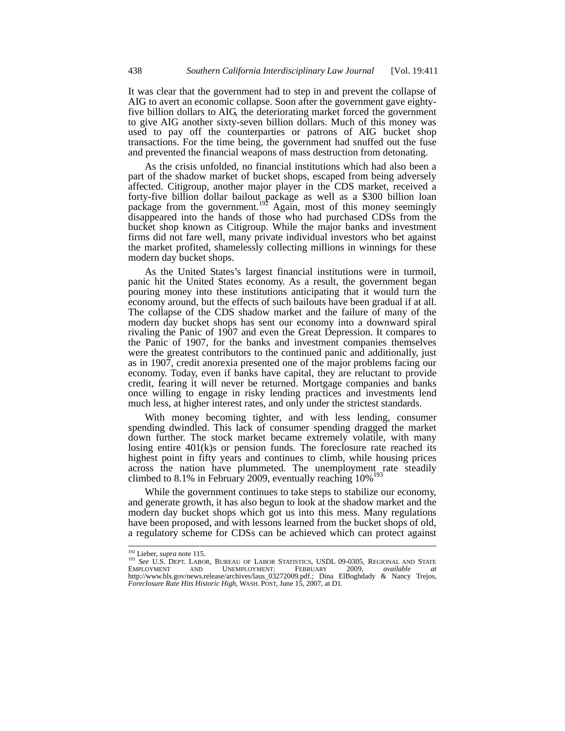It was clear that the government had to step in and prevent the collapse of AIG to avert an economic collapse. Soon after the government gave eightyfive billion dollars to AIG, the deteriorating market forced the government to give AIG another sixty-seven billion dollars. Much of this money was used to pay off the counterparties or patrons of AIG bucket shop transactions. For the time being, the government had snuffed out the fuse and prevented the financial weapons of mass destruction from detonating.

As the crisis unfolded, no financial institutions which had also been a part of the shadow market of bucket shops, escaped from being adversely affected. Citigroup, another major player in the CDS market, received a forty-five billion dollar bailout package as well as a \$300 billion loan package from the government.<sup>192</sup> Again, most of this money seemingly disappeared into the hands of those who had purchased CDSs from the bucket shop known as Citigroup. While the major banks and investment firms did not fare well, many private individual investors who bet against the market profited, shamelessly collecting millions in winnings for these modern day bucket shops.

As the United States's largest financial institutions were in turmoil, panic hit the United States economy. As a result, the government began pouring money into these institutions anticipating that it would turn the economy around, but the effects of such bailouts have been gradual if at all. The collapse of the CDS shadow market and the failure of many of the modern day bucket shops has sent our economy into a downward spiral rivaling the Panic of 1907 and even the Great Depression. It compares to the Panic of 1907, for the banks and investment companies themselves were the greatest contributors to the continued panic and additionally, just as in 1907, credit anorexia presented one of the major problems facing our economy. Today, even if banks have capital, they are reluctant to provide credit, fearing it will never be returned. Mortgage companies and banks once willing to engage in risky lending practices and investments lend much less, at higher interest rates, and only under the strictest standards.

With money becoming tighter, and with less lending, consumer spending dwindled. This lack of consumer spending dragged the market down further. The stock market became extremely volatile, with many losing entire 401(k)s or pension funds. The foreclosure rate reached its highest point in fifty years and continues to climb, while housing prices across the nation have plummeted. The unemployment rate steadily climbed to  $8.1\%$  in February 2009, eventually reaching  $10\%$ 

While the government continues to take steps to stabilize our economy, and generate growth, it has also begun to look at the shadow market and the modern day bucket shops which got us into this mess. Many regulations have been proposed, and with lessons learned from the bucket shops of old, a regulatory scheme for CDSs can be achieved which can protect against

 $^{192}$  Lieber, *supra* note 115.<br><sup>193</sup> *See* U.S. DEPT, LABOI

<sup>&</sup>lt;sup>193</sup> See U.S. DEPT. LABOR, BUREAU OF LABOR STATISTICS, USDL 09-0305, REGIONAL AND STATE EMPLOYMENT: FEBRUARY 2009, *available at* EMPLOYMENT AND UNEMPLOYMENT: FEBRUARY 2009, *available at* http://www.bls.gov/news.release/archives/laus\_03272009.pdf.; Dina ElBoghdady & Nancy Trejos, *Foreclosure Rate Hits Historic High*, WASH. POST, June 15, 2007, at D1.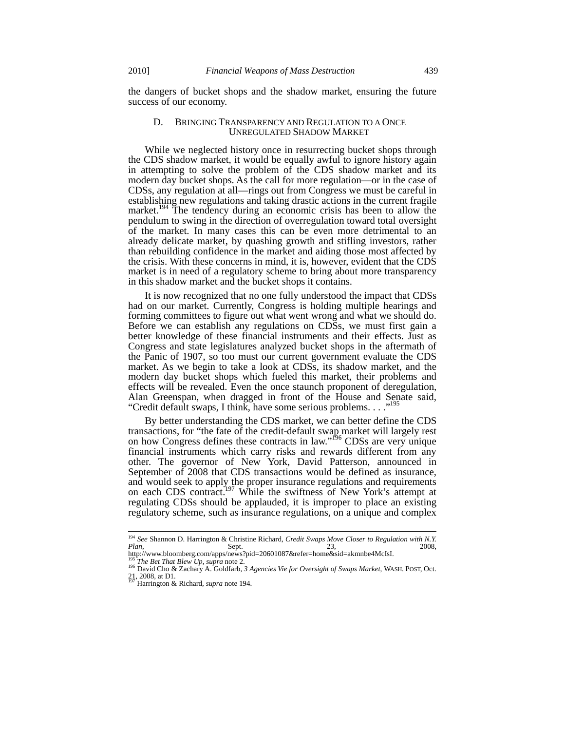the dangers of bucket shops and the shadow market, ensuring the future success of our economy.

## D. BRINGING TRANSPARENCY AND REGULATION TO A ONCE UNREGULATED SHADOW MARKET

While we neglected history once in resurrecting bucket shops through the CDS shadow market, it would be equally awful to ignore history again in attempting to solve the problem of the CDS shadow market and its modern day bucket shops. As the call for more regulation—or in the case of CDSs, any regulation at all—rings out from Congress we must be careful in establishing new regulations and taking drastic actions in the current fragile market.<sup>194</sup> The tendency during an economic crisis has been to allow the pendulum to swing in the direction of overregulation toward total oversight of the market. In many cases this can be even more detrimental to an already delicate market, by quashing growth and stifling investors, rather than rebuilding confidence in the market and aiding those most affected by the crisis. With these concerns in mind, it is, however, evident that the CDS market is in need of a regulatory scheme to bring about more transparency in this shadow market and the bucket shops it contains.

It is now recognized that no one fully understood the impact that CDSs had on our market. Currently, Congress is holding multiple hearings and forming committees to figure out what went wrong and what we should do. Before we can establish any regulations on CDSs, we must first gain a better knowledge of these financial instruments and their effects. Just as Congress and state legislatures analyzed bucket shops in the aftermath of the Panic of 1907, so too must our current government evaluate the CDS market. As we begin to take a look at CDSs, its shadow market, and the modern day bucket shops which fueled this market, their problems and effects will be revealed. Even the once staunch proponent of deregulation, Alan Greenspan, when dragged in front of the House and Senate said, "Credit default swaps, I think, have some serious problems. . . ."<sup>19</sup>

By better understanding the CDS market, we can better define the CDS transactions, for "the fate of the credit-default swap market will largely rest on how Congress defines these contracts in law."<sup>196</sup> CDSs are very unique financial instruments which carry risks and rewards different from any other. The governor of New York, David Patterson, announced in September of 2008 that CDS transactions would be defined as insurance, and would seek to apply the proper insurance regulations and requirements on each CDS contract.<sup>197</sup> While the swiftness of New York's attempt at regulating CDSs should be applauded, it is improper to place an existing regulatory scheme, such as insurance regulations, on a unique and complex

<sup>194</sup> *See* Shannon D. Harrington & Christine Richard, *Credit Swaps Move Closer to Regulation with N.Y. Plan*, 2008, Sept. 23, 2008,

http://www.bloomberg.com/apps/news?pid=20601087&refer=home&sid=akmnbe4McIsI.

<sup>&</sup>lt;sup>195</sup> *The Bet That Blew Up*, *supra* note 2.<br><sup>196</sup> David Cho & Zachary A. Goldfarb, *3 Agencies Vie for Oversight of Swaps Market*, WASH. POST, Oct. 21, 2008, at D1. <sup>197</sup> Harrington & Richard, *supra* note 194.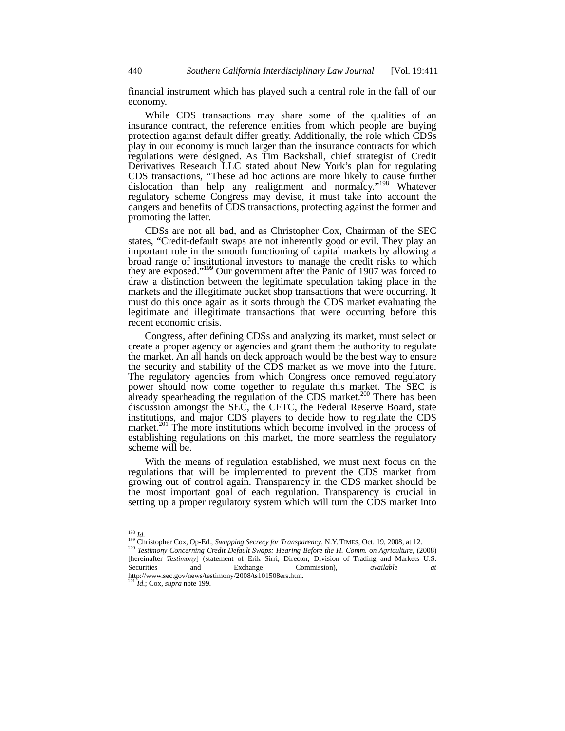financial instrument which has played such a central role in the fall of our economy.

While CDS transactions may share some of the qualities of an insurance contract, the reference entities from which people are buying protection against default differ greatly. Additionally, the role which CDSs play in our economy is much larger than the insurance contracts for which regulations were designed. As Tim Backshall, chief strategist of Credit Derivatives Research LLC stated about New York's plan for regulating CDS transactions, "These ad hoc actions are more likely to cause further dislocation than help any realignment and normalcy."<sup>198</sup> Whatever regulatory scheme Congress may devise, it must take into account the dangers and benefits of CDS transactions, protecting against the former and promoting the latter.

CDSs are not all bad, and as Christopher Cox, Chairman of the SEC states, "Credit-default swaps are not inherently good or evil. They play an important role in the smooth functioning of capital markets by allowing a broad range of institutional investors to manage the credit risks to which they are exposed."199 Our government after the Panic of 1907 was forced to draw a distinction between the legitimate speculation taking place in the markets and the illegitimate bucket shop transactions that were occurring. It must do this once again as it sorts through the CDS market evaluating the legitimate and illegitimate transactions that were occurring before this recent economic crisis.

Congress, after defining CDSs and analyzing its market, must select or create a proper agency or agencies and grant them the authority to regulate the market. An all hands on deck approach would be the best way to ensure the security and stability of the CDS market as we move into the future. The regulatory agencies from which Congress once removed regulatory power should now come together to regulate this market. The SEC is already spearheading the regulation of the CDS market.<sup>200</sup> There has been discussion amongst the SEC, the CFTC, the Federal Reserve Board, state institutions, and major CDS players to decide how to regulate the CDS market.<sup>201</sup> The more institutions which become involved in the process of establishing regulations on this market, the more seamless the regulatory scheme will be.

With the means of regulation established, we must next focus on the regulations that will be implemented to prevent the CDS market from growing out of control again. Transparency in the CDS market should be the most important goal of each regulation. Transparency is crucial in setting up a proper regulatory system which will turn the CDS market into

 $198$  *Id.* 

<sup>&</sup>lt;sup>199</sup> Christopher Cox, Op-Ed., *Swapping Secrecy for Transparency*, N.Y. TIMES, Oct. 19, 2008, at 12. <sup>200</sup> *Testimony Concerning Credit Default Swaps: Hearing Before the H. Comm. on Agriculture*, (2008)

<sup>[</sup>hereinafter *Testimony*] (statement of Erik Sirri, Director, Division of Trading and Markets U.S. Securities and Exchange Commission), *available at* http://www.sec.gov/news/testimony/2008/ts101508ers.htm.

<sup>201</sup> *Id.*; Cox, *supra* note 199.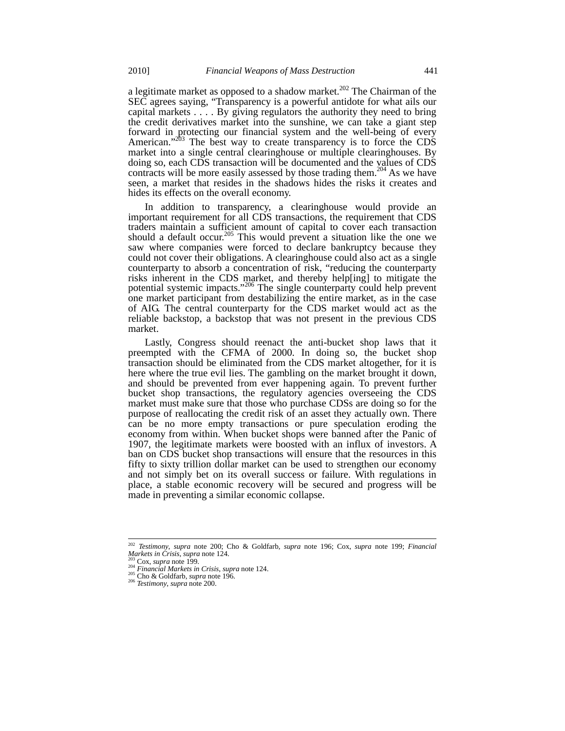a legitimate market as opposed to a shadow market.<sup>202</sup> The Chairman of the SEC agrees saying, "Transparency is a powerful antidote for what ails our capital markets . . . . By giving regulators the authority they need to bring the credit derivatives market into the sunshine, we can take a giant step forward in protecting our financial system and the well-being of every American."<sup>203</sup> The best way to create transparency is to force the CDS market into a single central clearinghouse or multiple clearinghouses. By doing so, each CDS transaction will be documented and the values of CDS contracts will be more easily assessed by those trading them.<sup>204</sup> As we have seen, a market that resides in the shadows hides the risks it creates and hides its effects on the overall economy.

In addition to transparency, a clearinghouse would provide an important requirement for all CDS transactions, the requirement that CDS traders maintain a sufficient amount of capital to cover each transaction should a default occur.<sup>205</sup> This would prevent a situation like the one we saw where companies were forced to declare bankruptcy because they could not cover their obligations. A clearinghouse could also act as a single counterparty to absorb a concentration of risk, "reducing the counterparty risks inherent in the CDS market, and thereby help[ing] to mitigate the potential systemic impacts."<sup>206</sup> The single counterparty could help prevent one market participant from destabilizing the entire market, as in the case of AIG. The central counterparty for the CDS market would act as the reliable backstop, a backstop that was not present in the previous CDS market.

Lastly, Congress should reenact the anti-bucket shop laws that it preempted with the CFMA of 2000. In doing so, the bucket shop transaction should be eliminated from the CDS market altogether, for it is here where the true evil lies. The gambling on the market brought it down, and should be prevented from ever happening again. To prevent further bucket shop transactions, the regulatory agencies overseeing the CDS market must make sure that those who purchase CDSs are doing so for the purpose of reallocating the credit risk of an asset they actually own. There can be no more empty transactions or pure speculation eroding the economy from within. When bucket shops were banned after the Panic of 1907, the legitimate markets were boosted with an influx of investors. A ban on CDS bucket shop transactions will ensure that the resources in this fifty to sixty trillion dollar market can be used to strengthen our economy and not simply bet on its overall success or failure. With regulations in place, a stable economic recovery will be secured and progress will be made in preventing a similar economic collapse.

<sup>202</sup> *Testimony*, *supra* note 200; Cho & Goldfarb, *supra* note 196; Cox, *supra* note 199; *Financial*  Markets in Crisis, supra note 124.<br><sup>203</sup> Cox, supra note 199.<br><sup>204</sup> Financial Markets in Crisis, supra note 124.<br><sup>205</sup> Cho & Goldfarb, supra note 196.<br><sup>206</sup> Testimony, supra note 200.